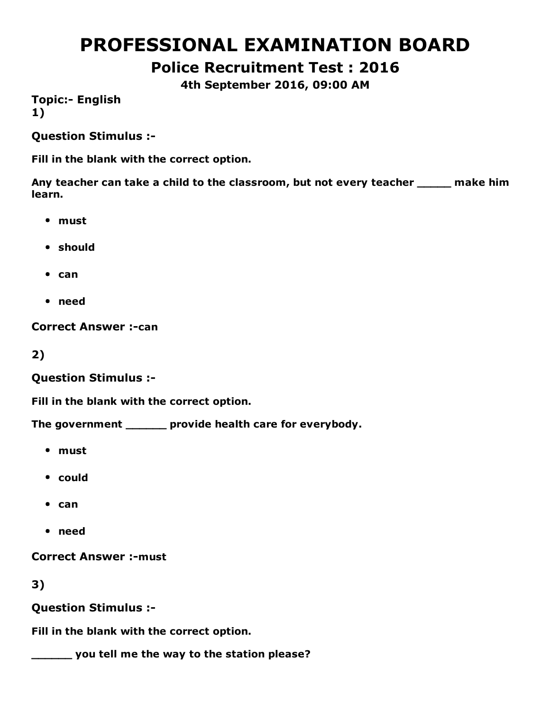# PROFESSIONAL EXAMINATION BOARD

Police Recruitment Test : 2016

4th September 2016, 09:00 AM

**Topic:- English** 1)

Question Stimulus :

Fill in the blank with the correct option.

Any teacher can take a child to the classroom, but not every teacher \_\_\_\_\_ make him learn.

- must
- should
- $•$  can
- need

**Correct Answer :- can** 

2)

Question Stimulus :

Fill in the blank with the correct option.

The government \_\_\_\_\_\_ provide health care for everybody.

- must
- could
- $•$  can
- need

**Correct Answer :- must** 

3)

Question Stimulus :

Fill in the blank with the correct option.

\_\_\_\_\_\_ you tell me the way to the station please?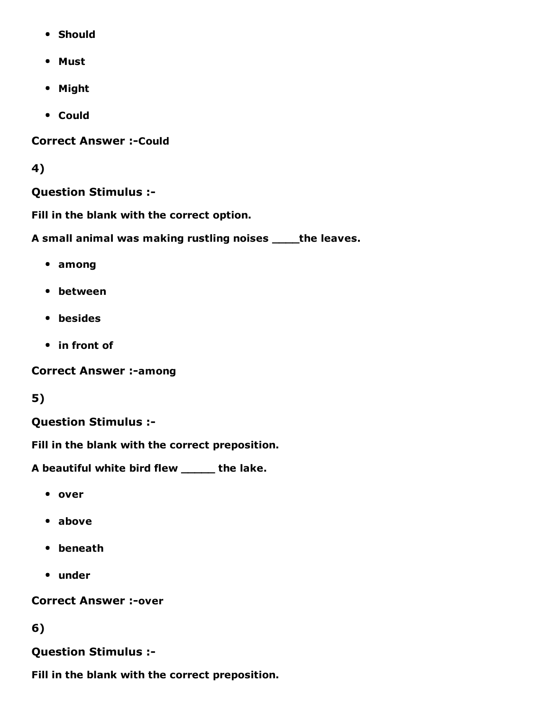- Should
- Must
- Might
- Could

**Correct Answer :- Could** 

#### 4)

#### Question Stimulus :

Fill in the blank with the correct option.

A small animal was making rustling noises \_\_\_\_the leaves.

- among
- between
- **•** besides
- in front of

**Correct Answer :- among** 

### 5)

#### Question Stimulus :

Fill in the blank with the correct preposition.

A beautiful white bird flew \_\_\_\_\_ the lake.

- over
- above
- beneath
- under

**Correct Answer :-over** 

#### 6)

#### Question Stimulus :

Fill in the blank with the correct preposition.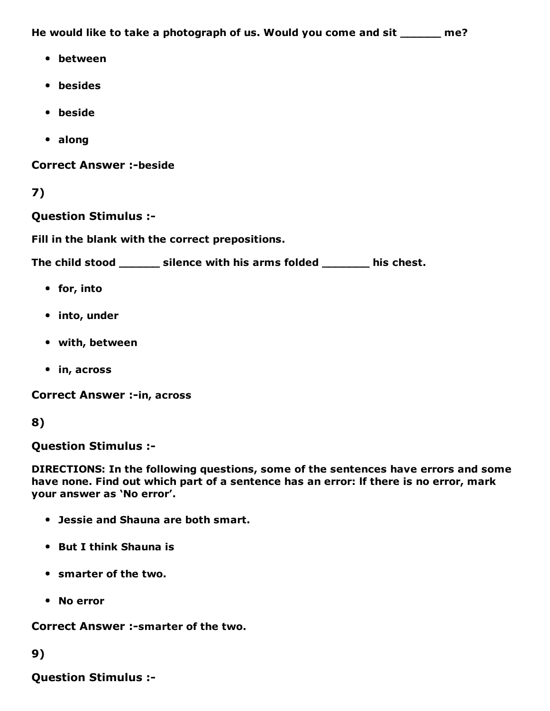He would like to take a photograph of us. Would you come and sit \_\_\_\_\_\_ me?

- between
- besides
- beside
- along

**Correct Answer :-beside** 

7)

Question Stimulus :

Fill in the blank with the correct prepositions.

The child stood \_\_\_\_\_\_ silence with his arms folded \_\_\_\_\_\_\_ his chest.

- for, into
- into, under
- with, between
- in, across

**Correct Answer :- in, across** 

8)

Question Stimulus :

DIRECTIONS: In the following questions, some of the sentences have errors and some have none. Find out which part of a sentence has an error: lf there is no error, mark your answer as 'No error'.

- Jessie and Shauna are both smart.
- But I think Shauna is
- smarter of the two.
- No error

Correct Answer :-smarter of the two.

9)

Question Stimulus :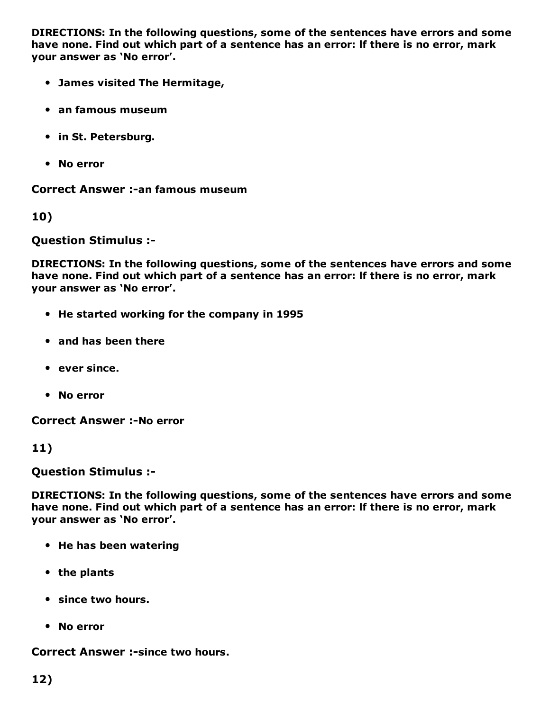DIRECTIONS: In the following questions, some of the sentences have errors and some have none. Find out which part of a sentence has an error: lf there is no error, mark your answer as 'No error'.

- James visited The Hermitage,
- an famous museum
- in St. Petersburg.
- No error

Correct Answer :-an famous museum

10)

Question Stimulus :

DIRECTIONS: In the following questions, some of the sentences have errors and some have none. Find out which part of a sentence has an error: lf there is no error, mark your answer as 'No error'.

- He started working for the company in 1995
- and has been there
- ever since.
- No error

**Correct Answer :-No error** 

11)

Question Stimulus :

DIRECTIONS: In the following questions, some of the sentences have errors and some have none. Find out which part of a sentence has an error: lf there is no error, mark your answer as 'No error'.

- He has been watering
- the plants
- since two hours.
- No error

**Correct Answer :-since two hours.**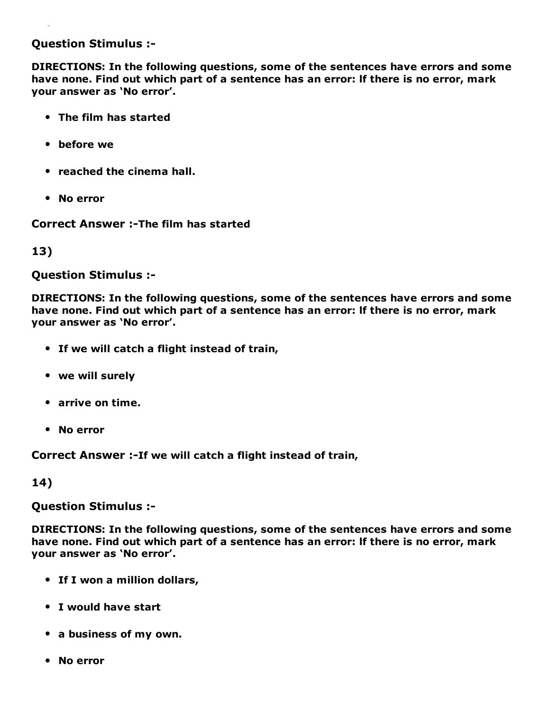#### Question Stimulus :

DIRECTIONS: In the following questions, some of the sentences have errors and some have none. Find out which part of a sentence has an error: lf there is no error, mark your answer as 'No error'.

- The film has started
- before we
- reached the cinema hall.
- No error

Correct Answer :-The film has started

13)

Question Stimulus :

DIRECTIONS: In the following questions, some of the sentences have errors and some have none. Find out which part of a sentence has an error: lf there is no error, mark your answer as 'No error'.

- If we will catch a flight instead of train,
- we will surely
- arrive on time.
- No error

Correct Answer :-If we will catch a flight instead of train,

14)

Question Stimulus :

DIRECTIONS: In the following questions, some of the sentences have errors and some have none. Find out which part of a sentence has an error: lf there is no error, mark your answer as 'No error'.

- If I won a million dollars,
- I would have start
- a business of my own.
- No error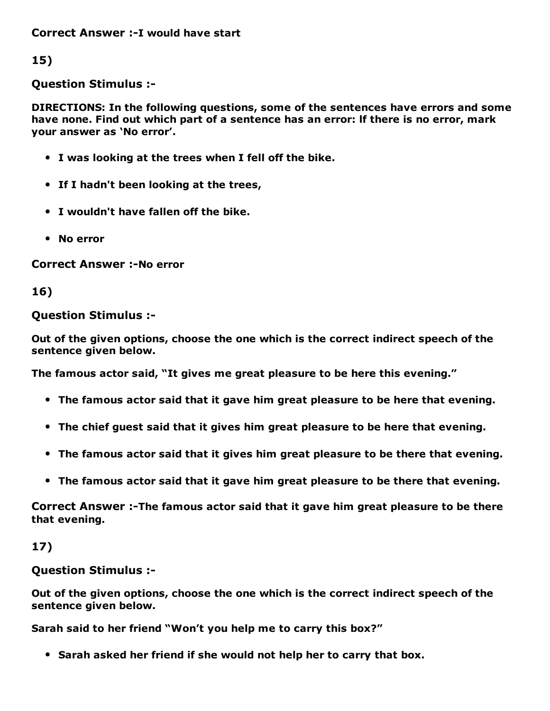Correct Answer :-I would have start

15)

Question Stimulus :

DIRECTIONS: In the following questions, some of the sentences have errors and some have none. Find out which part of a sentence has an error: lf there is no error, mark your answer as 'No error'.

- I was looking at the trees when I fell off the bike.
- If I hadn't been looking at the trees,
- I wouldn't have fallen off the bike.
- No error

**Correct Answer :-No error** 

16)

Question Stimulus :

Out of the given options, choose the one which is the correct indirect speech of the sentence given below.

The famous actor said, "It gives me great pleasure to be here this evening."

- The famous actor said that it gave him great pleasure to be here that evening.
- The chief guest said that it gives him great pleasure to be here that evening.
- The famous actor said that it gives him great pleasure to be there that evening.
- The famous actor said that it gave him great pleasure to be there that evening.

Correct Answer :-The famous actor said that it gave him great pleasure to be there that evening.

17)

Question Stimulus :

Out of the given options, choose the one which is the correct indirect speech of the sentence given below.

Sarah said to her friend "Won't you help me to carry this box?"

• Sarah asked her friend if she would not help her to carry that box.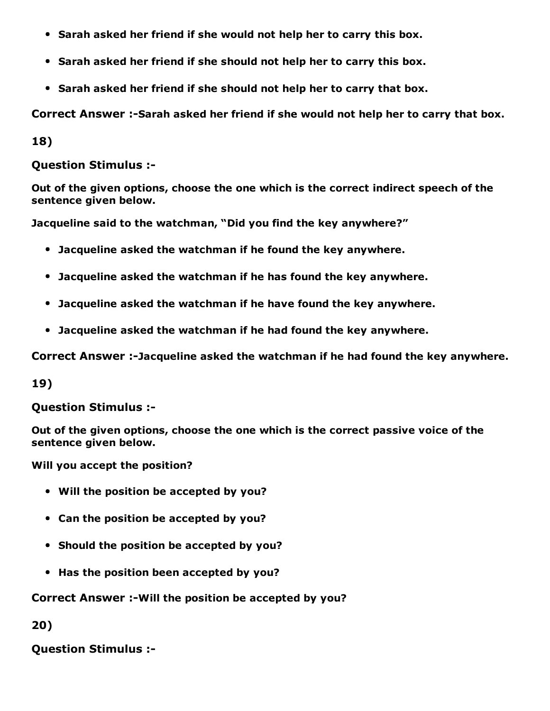- Sarah asked her friend if she would not help her to carry this box.
- Sarah asked her friend if she should not help her to carry this box.
- Sarah asked her friend if she should not help her to carry that box.

Correct Answer :-Sarah asked her friend if she would not help her to carry that box.

18)

Question Stimulus :

Out of the given options, choose the one which is the correct indirect speech of the sentence given below.

Jacqueline said to the watchman, "Did you find the key anywhere?"

- Jacqueline asked the watchman if he found the key anywhere.
- Jacqueline asked the watchman if he has found the key anywhere.
- Jacqueline asked the watchman if he have found the key anywhere.
- Jacqueline asked the watchman if he had found the key anywhere.

Correct Answer :-Jacqueline asked the watchman if he had found the key anywhere.

19)

Question Stimulus :

Out of the given options, choose the one which is the correct passive voice of the sentence given below.

Will you accept the position?

- Will the position be accepted by you?
- Can the position be accepted by you?
- Should the position be accepted by you?
- Has the position been accepted by you?

#### Correct Answer :-Will the position be accepted by you?

20)

Question Stimulus :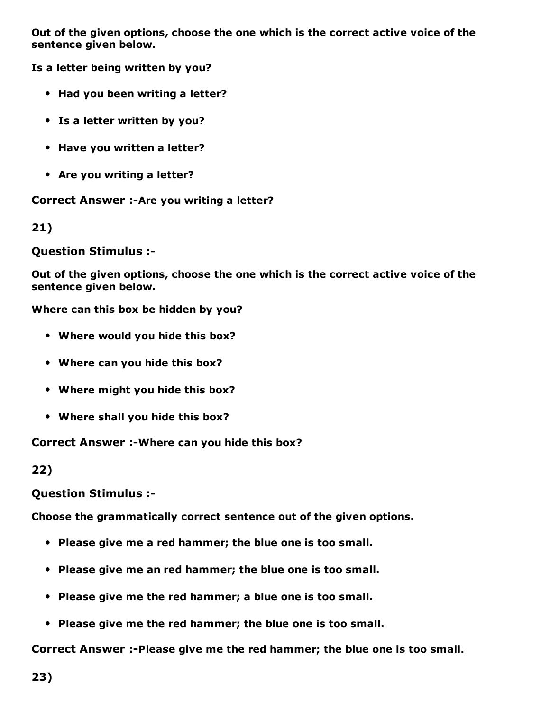Out of the given options, choose the one which is the correct active voice of the sentence given below.

Is a letter being written by you?

- Had you been writing a letter?
- Is a letter written by you?
- Have you written a letter?
- Are you writing a letter?

Correct Answer :- Are you writing a letter?

21)

#### Question Stimulus :

Out of the given options, choose the one which is the correct active voice of the sentence given below.

Where can this box be hidden by you?

- Where would you hide this box?
- Where can you hide this box?
- Where might you hide this box?
- Where shall you hide this box?

Correct Answer :- Where can you hide this box?

22)

Question Stimulus :

Choose the grammatically correct sentence out of the given options.

- Please give me a red hammer; the blue one is too small.
- Please give me an red hammer; the blue one is too small.
- Please give me the red hammer; a blue one is too small.
- Please give me the red hammer; the blue one is too small.

Correct Answer :-Please give me the red hammer; the blue one is too small.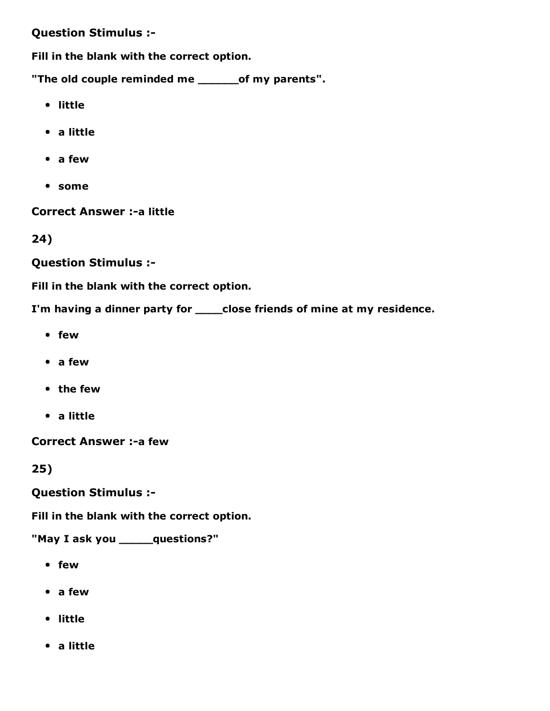#### Question Stimulus :

Fill in the blank with the correct option.

"The old couple reminded me \_\_\_\_\_\_\_of my parents".

- little
- a little
- a few
- some

Correct Answer :- a little

24)

Question Stimulus :

Fill in the blank with the correct option.

I'm having a dinner party for \_\_\_\_close friends of mine at my residence.

- few
- a few
- the few
- a little

Correct Answer :- a few

25)

Question Stimulus :

Fill in the blank with the correct option.

"May I ask you \_\_\_\_\_questions?"

- few
- a few
- little
- a little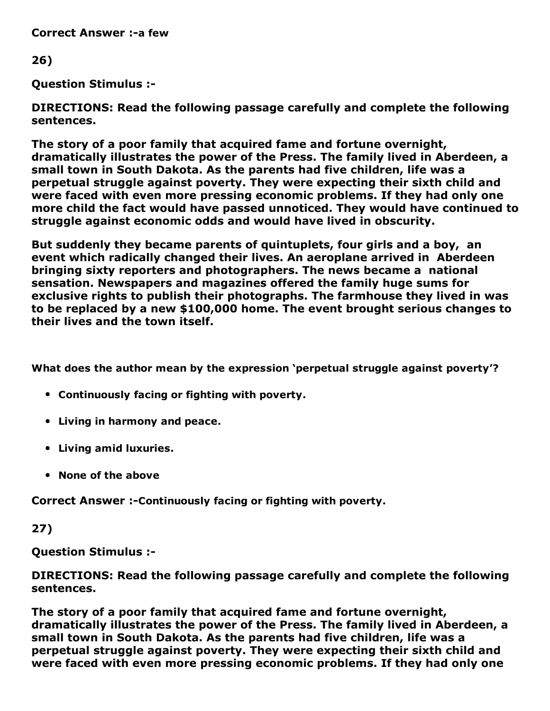**Correct Answer :-a few** 

#### 26)

Question Stimulus :

DIRECTIONS: Read the following passage carefully and complete the following sentences.

The story of a poor family that acquired fame and fortune overnight, dramatically illustrates the power of the Press. The family lived in Aberdeen, a small town in South Dakota. As the parents had five children, life was a perpetual struggle against poverty. They were expecting their sixth child and were faced with even more pressing economic problems. If they had only one more child the fact would have passed unnoticed. They would have continued to struggle against economic odds and would have lived in obscurity.

But suddenly they became parents of quintuplets, four girls and a boy, an event which radically changed their lives. An aeroplane arrived in Aberdeen bringing sixty reporters and photographers. The news became a national sensation. Newspapers and magazines offered the family huge sums for exclusive rights to publish their photographs. The farmhouse they lived in was to be replaced by a new \$100,000 home. The event brought serious changes to their lives and the town itself.

What does the author mean by the expression 'perpetual struggle against poverty'?

- Continuously facing or fighting with poverty.
- Living in harmony and peace.
- Living amid luxuries.
- None of the above

Correct Answer :-Continuously facing or fighting with poverty.

27)

Question Stimulus :

DIRECTIONS: Read the following passage carefully and complete the following sentences.

The story of a poor family that acquired fame and fortune overnight, dramatically illustrates the power of the Press. The family lived in Aberdeen, a small town in South Dakota. As the parents had five children, life was a perpetual struggle against poverty. They were expecting their sixth child and were faced with even more pressing economic problems. If they had only one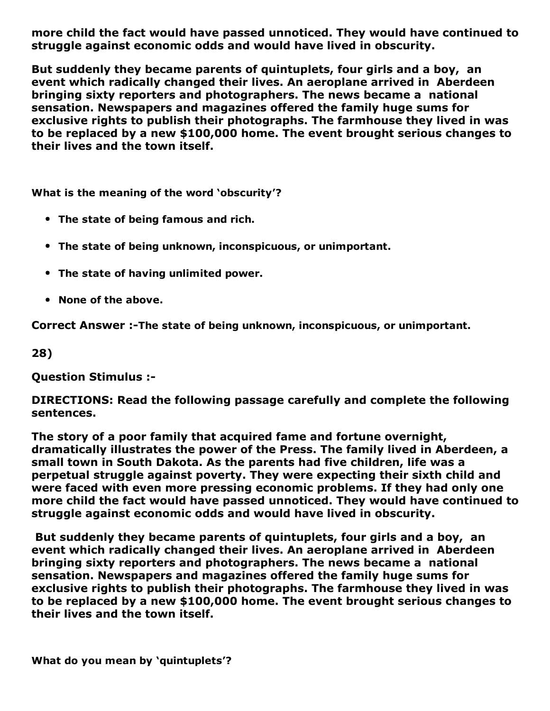more child the fact would have passed unnoticed. They would have continued to struggle against economic odds and would have lived in obscurity.

But suddenly they became parents of quintuplets, four girls and a boy, an event which radically changed their lives. An aeroplane arrived in Aberdeen bringing sixty reporters and photographers. The news became a national sensation. Newspapers and magazines offered the family huge sums for exclusive rights to publish their photographs. The farmhouse they lived in was to be replaced by a new \$100,000 home. The event brought serious changes to their lives and the town itself.

What is the meaning of the word 'obscurity'?

- The state of being famous and rich.
- The state of being unknown, inconspicuous, or unimportant.
- The state of having unlimited power.
- None of the above.

Correct Answer :-The state of being unknown, inconspicuous, or unimportant.

28)

Question Stimulus :

DIRECTIONS: Read the following passage carefully and complete the following sentences.

The story of a poor family that acquired fame and fortune overnight, dramatically illustrates the power of the Press. The family lived in Aberdeen, a small town in South Dakota. As the parents had five children, life was a perpetual struggle against poverty. They were expecting their sixth child and were faced with even more pressing economic problems. If they had only one more child the fact would have passed unnoticed. They would have continued to struggle against economic odds and would have lived in obscurity.

But suddenly they became parents of quintuplets, four girls and a boy, an event which radically changed their lives. An aeroplane arrived in Aberdeen bringing sixty reporters and photographers. The news became a national sensation. Newspapers and magazines offered the family huge sums for exclusive rights to publish their photographs. The farmhouse they lived in was to be replaced by a new \$100,000 home. The event brought serious changes to their lives and the town itself.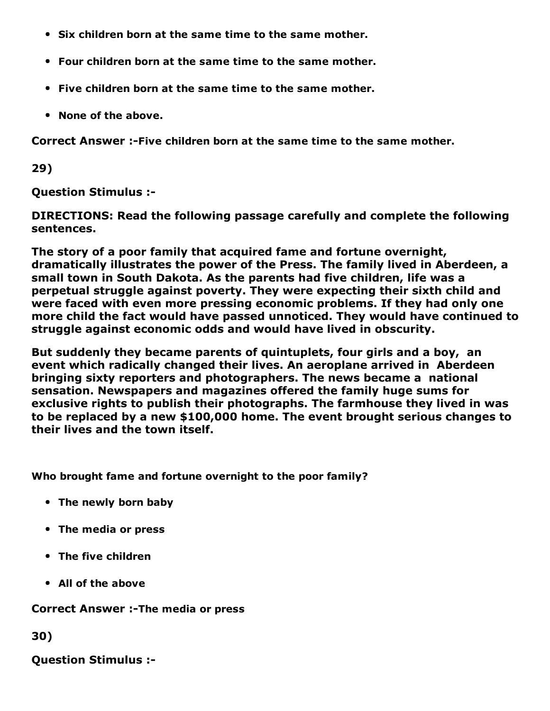- Six children born at the same time to the same mother.
- Four children born at the same time to the same mother.
- Five children born at the same time to the same mother.
- None of the above.

Correct Answer :-Five children born at the same time to the same mother.

29)

Question Stimulus :

DIRECTIONS: Read the following passage carefully and complete the following sentences.

The story of a poor family that acquired fame and fortune overnight, dramatically illustrates the power of the Press. The family lived in Aberdeen, a small town in South Dakota. As the parents had five children, life was a perpetual struggle against poverty. They were expecting their sixth child and were faced with even more pressing economic problems. If they had only one more child the fact would have passed unnoticed. They would have continued to struggle against economic odds and would have lived in obscurity.

But suddenly they became parents of quintuplets, four girls and a boy, an event which radically changed their lives. An aeroplane arrived in Aberdeen bringing sixty reporters and photographers. The news became a national sensation. Newspapers and magazines offered the family huge sums for exclusive rights to publish their photographs. The farmhouse they lived in was to be replaced by a new \$100,000 home. The event brought serious changes to their lives and the town itself.

Who brought fame and fortune overnight to the poor family?

- The newly born baby
- The media or press
- The five children
- All of the above

Correct Answer :-The media or press

30)

Question Stimulus :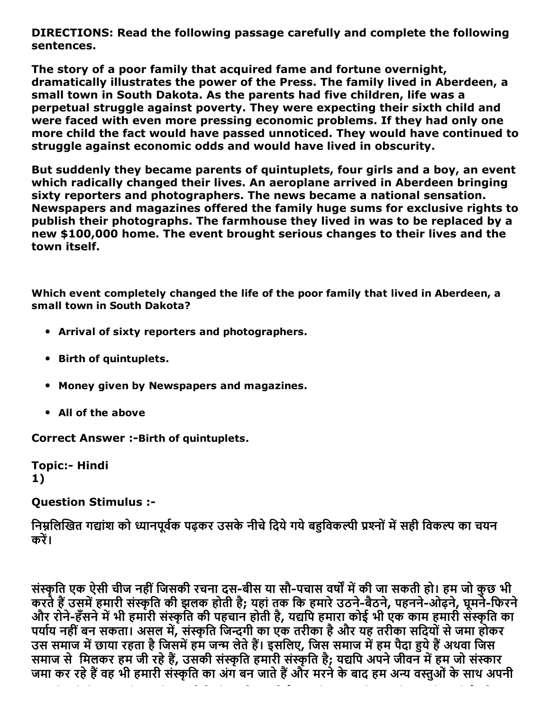DIRECTIONS: Read the following passage carefully and complete the following sentences.

The story of a poor family that acquired fame and fortune overnight, dramatically illustrates the power of the Press. The family lived in Aberdeen, a small town in South Dakota. As the parents had five children, life was a perpetual struggle against poverty. They were expecting their sixth child and were faced with even more pressing economic problems. If they had only one more child the fact would have passed unnoticed. They would have continued to struggle against economic odds and would have lived in obscurity.

But suddenly they became parents of quintuplets, four girls and a boy, an event which radically changed their lives. An aeroplane arrived in Aberdeen bringing sixty reporters and photographers. The news became a national sensation. Newspapers and magazines offered the family huge sums for exclusive rights to publish their photographs. The farmhouse they lived in was to be replaced by a new \$100,000 home. The event brought serious changes to their lives and the town itself.

Which event completely changed the life of the poor family that lived in Aberdeen, a small town in South Dakota?

- Arrival of sixty reporters and photographers.
- Birth of quintuplets.
- Money given by Newspapers and magazines.
- All of the above

**Correct Answer :- Birth of quintuplets.** 

**Topic:- Hindi** 1)

#### Question Stimulus :

निम्नलिखित गद्यांश को ध्यानपूर्वक पढ़कर उसके नीचे दिये गये बहुविकल्पी प्रश्नों में सही विकल्प का चयन करें।

संस्कृति एक ऐसी चीज नहीं जिसकी रचना दस-बीस या सौ-पचास वर्षों में की जा सकती हो। हम जो कुछ भी करते हैं उसमें हमारी संस्कृति की झलक होती है; यहां तक कि हमारे उठने-बैठने, पहनने-ओढ़ने, घूमने-फिरने और रोने-हँसने में भी हमारी संस्कृति की पहचान होती है, यद्यपि हमारा कोई भी एक काम हमारी संस्कृति का पर्याय नहीं बन सकता। असल में, संस्कृति जिन्दगी का एक तरीका है और यह तरीका सदियों से जमा होकर उस समाज में छाया रहता है जिसमें हम जन्म लेते हैं। इसलिए, जिस समाज में हम पैदा हये हैं अथवा जिस समाज से मिलकर हम जी रहे हैं, उसकी संस्कृति हमारी संस्कृति है; यद्यपि अपने जीवन में हम जो संस्कार जमा कर रहे हैं वह भी हमारी संस्कृति का अंग बन जाते हैं और मरने के बाद हम अन्य वस्तुओं के साथ अपनी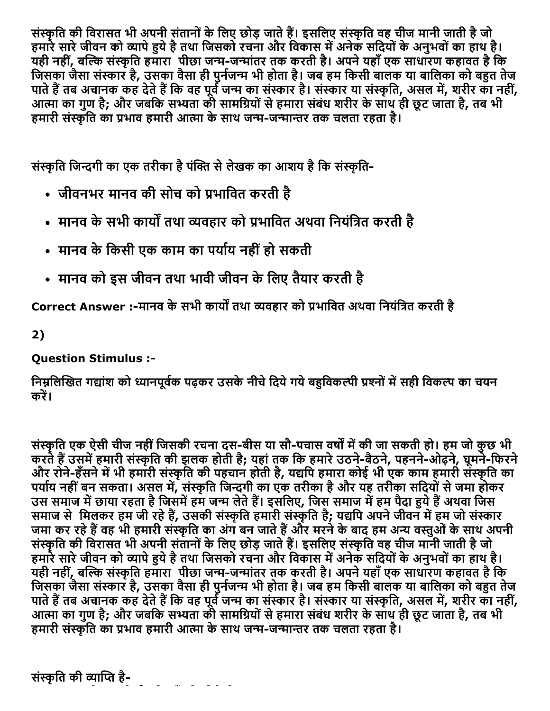संस्कृति की विरासत भी अपनी संतानों के लिए छोड़ जाते हैं। इसलिए संस्कृति वह चीज मानी जाती है जो हमारे सारे जीवन को व्यापे हुये है तथा जिसको रचना और विकास में अनेक सदियों के अनुभवों का हाथ है। यही नहीं, बल्कि संस्कृति हमारा पीछा जन्म-जन्मांतर तक करती है। अपने यहाँ एक साधारण कहावत है कि जिसका जैसा संस्कार है, उसका वैसा ही पुनेजन्म भी होता है। जब हम किसी बालक या बालिका को बहुत तेज पाते हैं तब अचानक कह देते हैं कि वह पूर्व जन्म का संस्कार है। संस्कार या संस्कृति, असल में, शरीर का नहीं, आत्मा का गुण है; और जबकि सभ्यता की सामग्रियों से हमारा संबंध शरीर के साथ ही छूट जाता है, तब भी हमारी संस्कृति का प्रभाव हमारी आत्मा के साथ जन्म-जन्मान्तर तक चलता रहता है।

संस्कृति जिन्दगी का एक तरीका है पंक्ति से लेखक का आशय है कि संस्कृति-

- जीवनभर मानव की सोच को प्रभावित करती है
- मानव के सभी कार्यों तथा व्यवहार को प्रभावित अथवा नियंत्रित करती है
- मानव के किसी एक काम का पर्याय नहीं हो सकती
- मानव को इस जीवन तथा भावी जीवन के लिए तैयार करती है

Correct Answer :-मानव के सभी कार्यों तथा व्यवहार को प्रभावित अथवा नियंत्रित करती है

2)

### Question Stimulus :

निम्नलिखित गद्यांश को ध्यानपूर्वक पढकर उसके नीचे दिये गये बहविकल्पी प्रश्नों में सही विकल्प का चयन करें।

संस्कृति एक ऐसी चीज नहीं जिसकी रचना दस-बीस या सौ-पचास वर्षों में की जा सकती हो। हम जो कुछ भी करते हैं उसमें हमारी संस्कृति की झलक होती है; यहां तक कि हमारे उठने-बैठने, पहनने-ओढ़ने, घूमने-फिरने और रोने-हँसने में भी हमारी संस्कृति की पहचान होती है, यद्यपि हमारा कोई भी एक काम हमारी संस्कृति का पर्याय नहीं बन सकता। असल में, संस्कृति जिन्दगी का एक तरीका है और यह तरीका सदियों से जमा होकर उस समाज में छाया रहता है जिसमें हम जन्म लेते हैं। इसलिए, जिस समाज में हम पैदा हुये हैं अथवा जिस समाज से मिलकर हम जी रहे हैं, उसकी संस्कृति हमारी संस्कृति है; यद्यपि अपने जीवन में हम जो संस्कार जमा कर रहे हैं वह भी हमारी संस्कृति का अंग बन जाते हैं और मरने के बाद हम अन्य वस्तुओं के साथ अपनी संस्कृति की विरासत भी अपनी संतानों के लिए छोड़ जाते हैं। इसलिए संस्कृति वह चीज मानी जाती है जो हमारे सारे जीवन को व्यापे हुये है तथा जिसको रचना और विकास में अनेक सदियों के अनुभवों का हाथ है। यही नहीं, बल्कि संस्कृति हमारा पीछा जन्म-जन्मांतर तक करती है। अपने यहाँ एक साधारण कहावत है कि जिसका जैसा संस्कार है, उसका वैसा ही पुनेजन्म भी होता है। जब हम किसी बालक या बालिका को बहुत तेज पाते हैं तब अचानक कह देते हैं कि वह पूर्व जन्म का संस्कार है। संस्कार या संस्कृति, असल में, शरीर का नहीं, आत्मा का गुण है; और जबकि सभ्यता की सामग्रियों से हमारा संबंध शरीर के साथ ही छूट जाता है, तब भी हमारी संस्कृति का प्रभाव हमारी आत्मा के साथ जन्म-जन्मान्तर तक चलता रहता है।

संस्कृति की व्याप्ति है-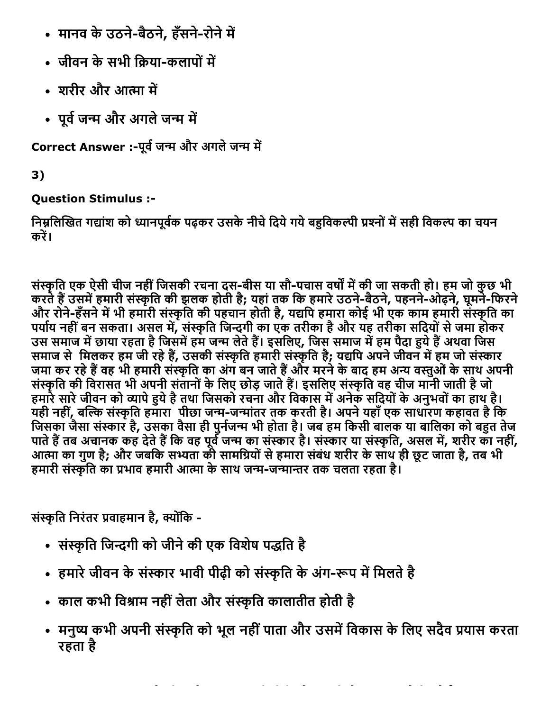- मानव के उठने-बैठने, हँसने-रोने में
- जीवन के सभी किया-कलापों में
- शरीर और आत्मा में
- पूर्व जन्म और अगले जन्म में

Correct Answer :-पूर्व जन्म और अगले जन्म में

3)

# Question Stimulus :

निम्नलिखित गद्यांश को ध्यानपूर्वक पढ़कर उसके नीचे दिये गये बहुविकल्पी प्रश्नों में सही विकल्प का चयन करें।

संस्कृति एक ऐसी चीज नहीं जिसकी रचना दस-बीस या सौ-पचास वर्षों में की जा सकती हो। हम जो कुछ भी करते हैं उसमें हमारी संस्कृति की झलक होती है; यहां तक कि हमारे उठने-बैठने, पहनने-ओढ़ने, घूमने-फिरने और रोने-हँसने में भी हमारी संस्कृति की पहचान होती है, यद्यपि हमारा कोई भी एक काम हमारी संस्कृति का पर्याय नहीं बन सकता। असल में, संस्कृति जिन्दगी का एक तरीका है और यह तरीका सदियों से जमा होकर उस समाज में छाया रहता है जिसमें हम जन्म लेते हैं। इसलिए, जिस समाज में हम पैदा हये हैं अथवा जिस समाज से मिलकर हम जी रहे हैं, उसकी संस्कृति हमारी संस्कृति है; यद्यपि अपने जीवन में हम जो संस्कार जमा कर रहे हैं वह भी हमारी संस्कृति का अंग बन जाते हैं और मरने के बाद हम अन्य वस्तुओं के साथ अपनी संस्कृति की विरासत भी अपनी संतानों के लिए छोड़ जाते हैं। इसलिए संस्कृति वह चीज मानी जाती है जो हमारे सारे जीवन को व्यापे हुये है तथा जिसको रचना और विकास में अनेक सदियों के अनुभवों का हाथ है। यही नहीं, बल्कि संस्कृति हमारा पीछा जन्म-जन्मांतर तक करती है। अपने यहाँ एक साधारण कहावत है कि जिसका जैसा संस्कार है, उसका वैसा ही पुनेजन्म भी होता है। जब हम किसी बालक या बालिका को बहुत तेज पाते हैं तब अचानक कह देते हैं कि वह पूर्व जन्म का संस्कार है। संस्कार या संस्कृति, असल में, शरीर का नहीं, आत्मा का गुण है; और जबकि सभ्यता की सामग्रियों से हमारा संबंध शरीर के साथ ही छूट जाता है, तब भी हमारी संस्कृति का प्रभाव हमारी आत्मा के साथ जन्म-जन्मान्तर तक चलता रहता है।

संस्कृति निरंतर प्रवाहमान है, क्योंकि -

- संस्कृति जिन्दगी को जीने की एक विशेष पद्धति है
- हमारे जीवन के संस्कार भावी पीढ़ी को संस्कृति के अंग-रूप में मिलते है
- काल कभी विश्राम नहीं लेता और संस्कृति कालातीत होती है
- मनुष्य कभी अपनी संस्कृति को भूल नहीं पाता और उसमें विकास के लिए सदैव प्रयास करता रहता है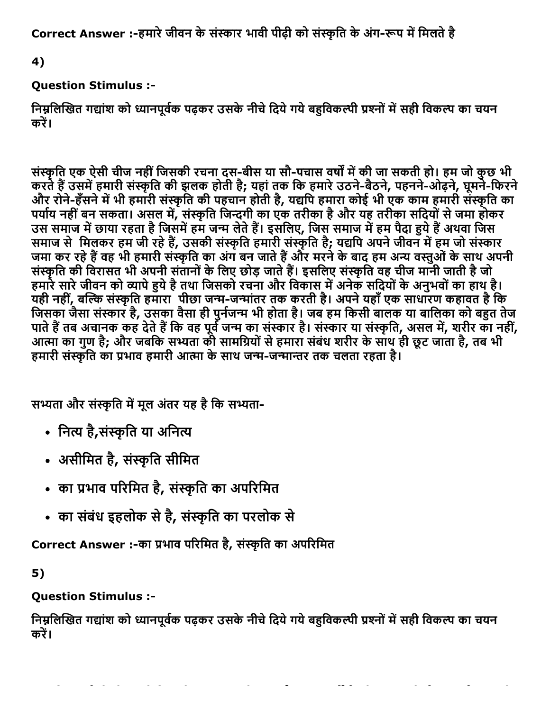Correct Answer :-हमारे जीवन के संस्कार भावी पीढ़ी को संस्कृति के अंग-रूप में मिलते है

4)

### Question Stimulus :

निम्नलिखित गद्यांश को ध्यानपूर्वक पढ़कर उसके नीचे दिये गये बहुविकल्पी प्रश्नों में सही विकल्प का चयन करें।

संस्कृति एक ऐसी चीज नहीं जिसकी रचना दस-बीस या सौ-पचास वर्षों में की जा सकती हो। हम जो कुछ भी करते हैं उसमें हमारी संस्कृति की झलक होती है; यहां तक कि हमारे उठने-बैठने, पहनने-ओढ़ने, घूमने-फिरने और रोने-हँसने में भी हमारी संस्कृति की पहचान होती है, यद्यपि हमारा कोई भी एक काम हमारी संस्कृति का पर्याय नहीं बन सकता। असल में, संस्कृति जिन्दगी का एक तरीका है और यह तरीका सदियों से जमा होकर उस समाज में छाया रहता है जिसमें हम जन्म लेते हैं। इसलिए, जिस समाज में हम पैदा हुये हैं अथवा जिस समाज से मिलकर हम जी रहे हैं, उसकी संस्कृति हमारी संस्कृति है; यद्यपि अपने जीवन में हम जो संस्कार जमा कर रहे हैं वह भी हमारी संस्कृति का अंग बन जाते हैं और मरने के बाद हम अन्य वस्तुओं के साथ अपनी संस्कृति की विरासत भी अपनी संतानों के लिए छोड़ जाते हैं। इसलिए संस्कृति वह चीज मानी जाती है जो हमारे सारे जीवन को व्यापे हुये है तथा जिसको रचना और विकास में अनेक सदियों के अनुभवों का हाथ है। यही नहीं, बल्कि संस्कृति हमारा पीछा जन्म-जन्मांतर तक करती है। अपने यहाँ एक साधारण कहावत है कि जिसका जैसा संस्कार है, उसका वैसा ही पुनेजन्म भी होता है। जब हम किसी बालक या बालिका को बहुत तेज पाते हैं तब अचानक कह देते हैं कि वह पूर्व जन्म का संस्कार है। संस्कार या संस्कृति, असल में, शरीर का नहीं, आत्मा का गुण है; और जबकि सभ्यता की सामग्रियों से हमारा संबंध शरीर के साथ ही छूट जाता है, तब भी हमारी संस्कृति का प्रभाव हमारी आत्मा के साथ जन्म-जन्मान्तर तक चलता रहता है।

सभ्यता और संस्कृति में मूल अंतर यह है कि सभ्यता-

- नित्य है,संस्कृति या अनित्य
- असीमित है, संस्कृति सीमित
- का प्रभाव परिमित है, संस्कृति का अपरिमित
- का संबंध इहलोक से है, संस्कृति का परलोक से

Correct Answer :-का प्रभाव परिमित है, संस्कृति का अपरिमित

5)

### Question Stimulus :

निम्नलिखित गद्यांश को ध्यानपूर्वक पढ़कर उसके नीचे दिये गये बहुविकल्पी प्रश्नों में सही विकल्प का चयन करें।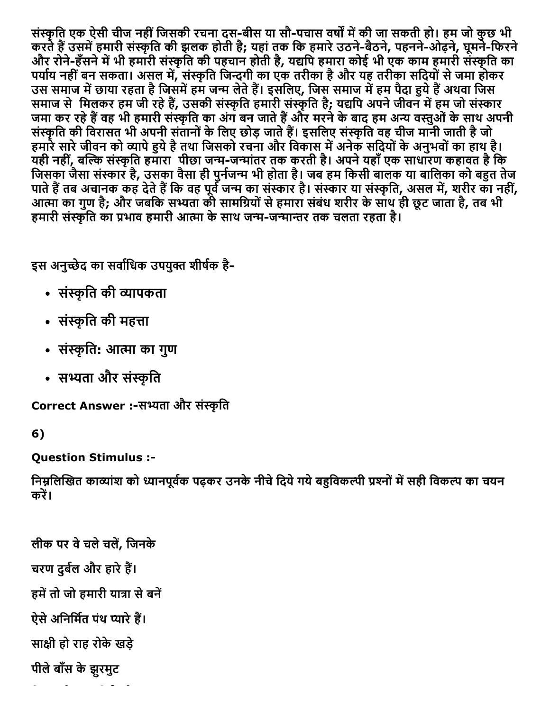संस्कृति एक ऐसी चीज नहीं जिसकी रचना दस-बीस या सौ-पचास वर्षों में की जा सकती हो। हम जो कुछ भी करते हैं उसमें हमारी संस्कृति की झलक होती है; यहां तक कि हमारे उठने-बैठने, पहनने-ओढ़ने, घूमने-फिरने और रोने-हँसने में भी हमारी संस्कृति की पहचान होती है, यद्यपि हमारा कोई भी एक काम हमारी संस्कृति का पर्याय नहीं बन सकता। असल में, संस्कृति जिन्दगी का एक तरीका है और यह तरीका सदियों से जमा होकर उस समाज में छाया रहता है जिसमें हम जन्म लेते हैं। इसलिए, जिस समाज में हम पैदा हुये हैं अथवा जिस समाज से मिलकर हम जी रहे हैं, उसकी संस्कृति हमारी संस्कृति है; यद्यपि अपने जीवन में हम जो संस्कार जमा कर रहे हैं वह भी हमारी संस्कृति का अंग बन जाते हैं और मरने के बाद हम अन्य वस्तुओं के साथ अपनी संस्कृति की विरासत भी अपनी संतानों के लिए छोड़ जाते हैं। इसलिए संस्कृति वह चीज मानी जाती है जो हमारे सारे जीवन को व्यापे हुये है तथा जिसको रचना और विकास में अनेक सदियों के अनुभवों का हाथ है। यही नहीं, बल्कि संस्कृति हमारा पीछा जन्म-जन्मांतर तक करती है। अपने यहाँ एक साधारण कहावत है कि जिसका जैसा संस्कार है, उसका वैसा ही पुनेजन्म भी होता है। जब हम किसी बालक या बालिका को बहुत तेज पाते हैं तब अचानक कह देते हैं कि वह पूर्व जन्म का संस्कार है। संस्कार या संस्कृति, असल में, शरीर का नहीं, आत्मा का गुण है; और जबकि सभ्यता की सामग्रियों से हमारा संबंध शरीर के साथ ही छूट जाता है, तब भी हमारी संस्कृति का प्रभाव हमारी आत्मा के साथ जन्म-जन्मान्तर तक चलता रहता है।

इस अनुच्छेद का सर्वाधिक उपयुक्त शीर्षक है-

- संस्कृति की व्यापकता
- संस्कृति की महत्ता
- संस्कृति: आत्मा का गुण
- सभ्यता और संस्कृति

Correct Answer :-सभ्यता और संस्कृति

```
6)
```
Question Stimulus :

निम्नलिखित काव्यांश को ध्यानपूर्वक पढ़कर उनके नीचे दिये गये बहुविकल्पी प्रश्नों में सही विकल्प का चयन करें।

लीक पर वे चले चलें, जिनके चरण दुर्बल और हारे हैं। हमें तो जो हमारी यात्रा से बनें ऐसे अनिर्मित पंथ प्यारे हैं। सा‰‰ी हो राह रोकेखड़े पीलेबाँस केझुरमुट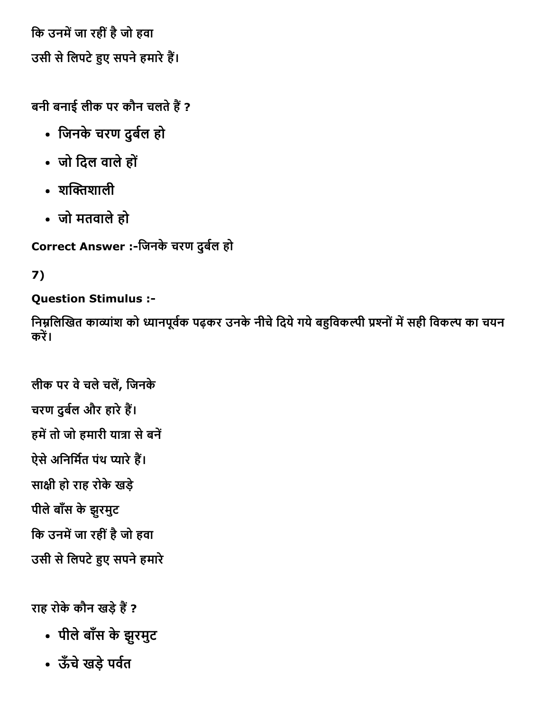कि उनमें जा रहीं है जो हवा उसी से लिपटे हुए सपने हमारे हैं।

बनी बनाई लीक पर कौन चलते हैं ?

- जिनके चरण दुर्बल हो
- जो िदल वालेहों
- $\cdot$  शक्तिशाली
- जो मतवालेहो

Correct Answer :-जिनके चरण दुर्बल हो

# 7)

# Question Stimulus :

निम्नलिखित काव्यांश को ध्यानपूर्वक पढ़कर उनके नीचे दिये गये बहुविकल्पी प्रश्नों में सही विकल्प का चयन करें।

```
लीक पर वेचलेचल㌠ㄭ, िजनके
चरण दुर्बल और हारे हैं।
हमें तो जो हमारी यात्रा से बनें
ऐसे अनिर्मित पंथ प्यारे हैं।
सा‰‰ी हो राह रोकेखड़े
पीलेबाँस केझुरमुट
कि उनमें जा रहीं है जो हवा
उसी से लिपटे हुए सपने हमारे
```
राह रोके कौन खड़े हैं ?

- पीलेबाँस केझुरमुट
- ऊँचे खड़े पर्वत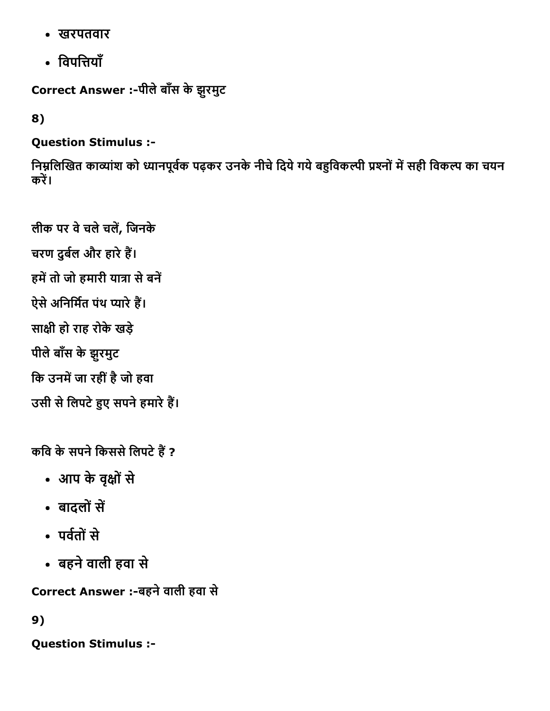- खरपतवार
- विपत्तियाँ

Correct Answer :-पीले बाँस के झुरमुट

8)

Question Stimulus :

निम्नलिखित काव्यांश को ध्यानपूर्वक पढ़कर उनके नीचे दिये गये बहुविकल्पी प्रश्नों में सही विकल्प का चयन करें।

लीक पर वे चले चलें, जिनके चरण दुर्बल और हारे हैं। हमें तो जो हमारी यात्रा से बनें ऐसे अनिर्मित पंथ प्यारे हैं। सा‰‰ी हो राह रोकेखड़े पीलेबाँस केझुरमुट कि उनमें जा रहीं है जो हवा उसी से लिपटे हुए सपने हमारे हैं।

कवि के सपने किससे लिपटे हैं ?

- आप केवृ‰‰ोंसे
- बादलों सें
- पर्वतों से
- बहनेवाली हवा से

Correct Answer :-बहने वाली हवा से

9)

Question Stimulus :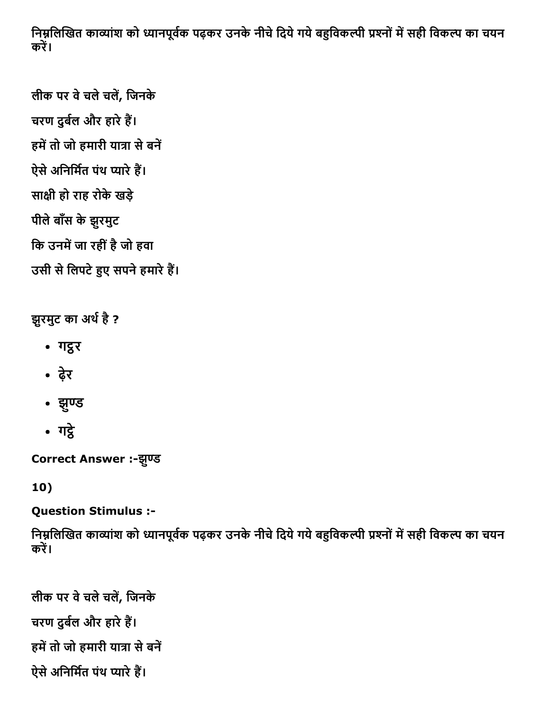निम्नलिखित काव्यांश को ध्यानपूर्वक पढ़कर उनके नीचे दिये गये बहुविकल्पी प्रश्नों में सही विकल्प का चयन करें।

```
लीक पर वेचलेचल㌠ㄭ, िजनके
चरण दुर्बल और हारे हैं।
हमें तो जो हमारी यात्रा से बनें
ऐसे अनिर्मित पंथ प्यारे हैं।
सा‰‰ी हो राह रोकेखड़े
पीलेबाँस केझुरमुट
कि उनमें जा रहीं है जो हवा
```

```
उसी से लिपटे हुए सपने हमारे हैं।
```
# झुरमुट का अर्थ है ?

- गद्रर
- ढ़ेर
- झुण्ड
- गद्रे

Correct Answer :-झुण्ड

10)

Question Stimulus :

निम्नलिखित काव्यांश को ध्यानपूर्वक पढ़कर उनके नीचे दिये गये बहुविकल्पी प्रश्नों में सही विकल्प का चयन करें।

```
लीक पर वेचलेचल㌠ㄭ, िजनके
चरण दुर्बल और हारे हैं।
हमें तो जो हमारी यात्रा से बनें
ऐसे अनिर्मित पंथ प्यारे हैं।
```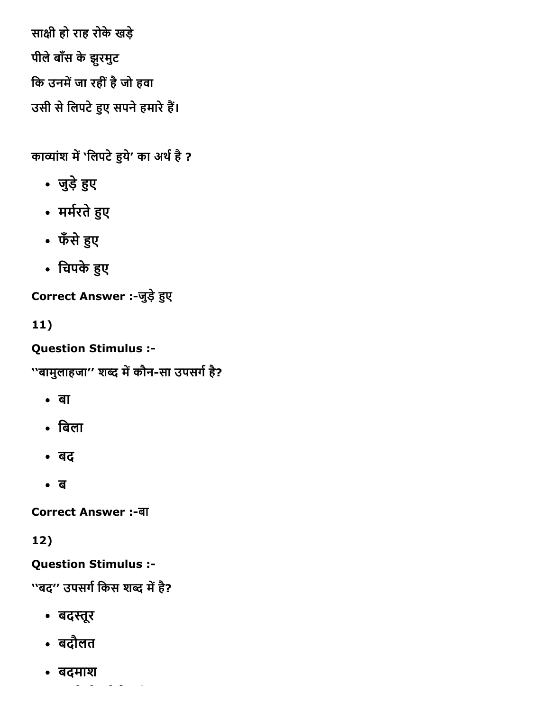सा‰‰ी हो राह रोकेखड़े पीलेबाँस केझुरमुट कि उनमें जा रहीं है जो हवा उसी से लिपटे हुए सपने हमारे हैं।

काव्यांश में 'लिपटे हुये' का अर्थ है ?

- जुड़े हुए
- मर्मरते हुए
- फँसे हुए
- चिपके हुए

Correct Answer :-जुड़े हुए

11)

Question Stimulus :

''बामुलाहजा'' शब्द में कौन-सा उपसर्ग है?

- बा
- िबला
- बद
- ब

**Correct Answer :-बा** 

# 12)

Question Stimulus :

''बद" उपसर्ग किस शब्द में है?

- बदस्तूर
- बदौलत
- बदमाश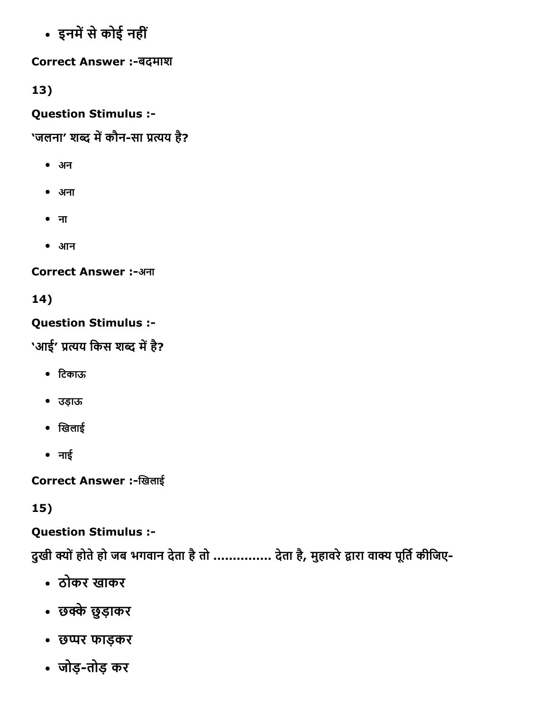• इनमें से कोई नहीं

Correct Answer :-बदमाश

13)

Question Stimulus :

'जलना' शब्द में कौन-सा प्रत्यय है?

- अन
- अना
- ना
- आन

Correct Answer :-अना

14)

# Question Stimulus :

'आई' प्रत्यय किस शब्द में है?

- िटकाऊ
- उड़ाऊ
- खिलाई
- नाई

Correct Answer :-खिलाई

15)

Question Stimulus :

दुखी क्यों होते हो जब भगवान देता है तो ............... देता है, मुहावरे द्वारा वाक्य पूर्ति कीजिए-

- ठोकर खाकर
- छ‰‰ेछुड़ाकर
- छ‰‱र फाड़कर
- जोड़तोड़ कर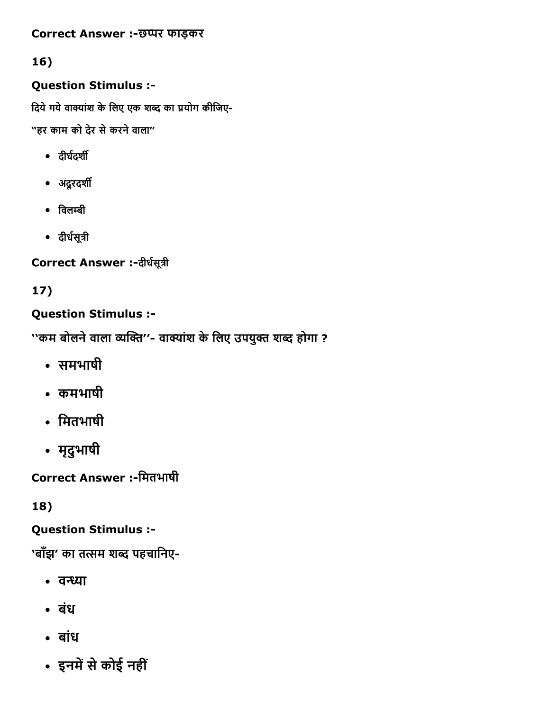#### Correct Answer :-छप्पर फाड़कर

#### 16)

#### Question Stimulus :

दिये गये वाक्यांश के लिए एक शब्द का प्रयोग कीजिए-

"हर काम को देर सेकरनेवाला"

- दीर्घदर्शी
- अदूरदर्शी
- $\bullet$  विलम्बी
- दीर्धसूत्री

Correct Answer :- दीर्धसूत्री

# 17)

### Question Stimulus :

''कम बोलने वाला व्यक्ति''- वाक्यांश के लिए उपयुक्त शब्द होगा ?

- समभाषी
- कमभाषी
- िमतभाषी
- मृदुभाषी

Correct Answer :-मितभाषी

18)

Question Stimulus :

<u>`</u>'बाँझ' का तत्सम शब्द पहचानिए-

- वन्ध्या
- बंध
- बांध
- इनमें से कोई नहीं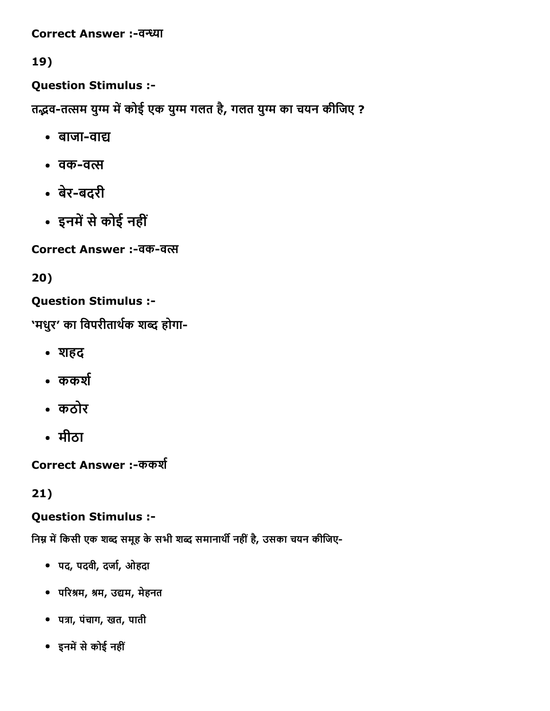Correct Answer :-वन्ध्या

19)

Question Stimulus :

तद्भव-तत्सम युग्म में कोई एक युग्म गलत है, गलत युग्म का चयन कीजिए ?

- बाजा-वाद्य
- वक-वत्स
- बेरबदरी
- इनमें से कोई नहीं

Correct Answer :-वक-वत्स

20)

# Question Stimulus :

'मधुर' का विपरीतार्थक शब्द होगा-

- शहद
- $•$  ककर्श
- कठोर
- मीठा

Correct Answer :-ककर्श

21)

### Question Stimulus :

निम्न में किसी एक शब्द समूह के सभी शब्द समानार्थी नहीं है, उसका चयन कीजिए-

- पद, पदवी, दर्जा, ओहदा
- परिश्रम, श्रम, उद्यम, मेहनत
- पत्रा, पंचाग, खत, पाती
- इनमें से कोई नहीं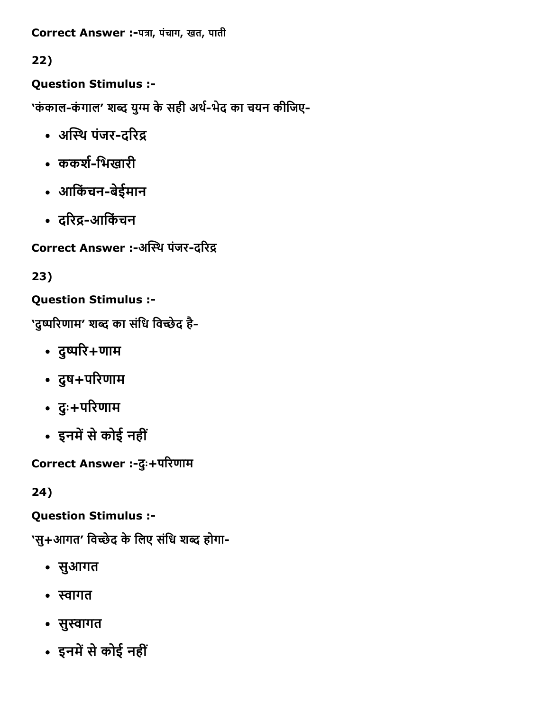Correct Answer :-पत्रा, पंचाग, खत, पाती

# 22)

Question Stimulus :

'कंकाल-कंगाल' शब्द युग्म के सही अर्थ-भेद का चयन कीजिए-

- अस्थि पंजर-दरिद्र
- ककर्श-भिखारी
- आिकंचनबेईमान
- दरिद्र-आर्किचन

Correct Answer :-अस्थि पंजर-दरिद्र

# 23)

Question Stimulus :

'दुष्परिणाम' शब्द का संधि विच्छेद है-

- दुष्परि+णाम
- दुष+परिणाम
- दुः+परिणाम
- इनमें से कोई नहीं

Correct Answer :-दुः+परिणाम

24)

# Question Stimulus :

'सु+आगत' विच्छेद के लिए संधि शब्द होगा-

- सुआगत
- स्वागत
- सुस्वागत
- इनमें से कोई नहीं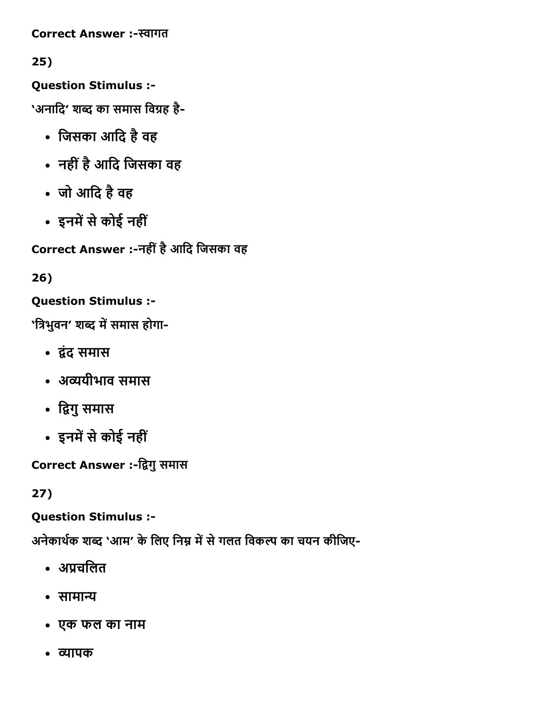Correct Answer :-स्वागत

25)

Question Stimulus :

'अनादि' शब्द का समास विग्रह है-

- िजसका आिद हैवह
- नहींहैआिद िजसका वह
- जो आिद हैवह
- इनमें से कोई नहीं

Correct Answer :नहींहैआिद िजसका वह

26)

Question Stimulus :

'त्रिभुवन' शब्द में समास होगा-

- 㔶⸴ंद समास
- अव्ययीभाव समास
- द्विगु समास
- इनमें से कोई नहीं

Correct Answer :-द्विगु समास

27)

Question Stimulus :

अनेकार्थक शब्द 'आम' के लिए निम्न में से गलत विकल्प का चयन कीजिए-

- अप्रचलित
- सामान्य
- एक फल का नाम
- 㔰〼ापक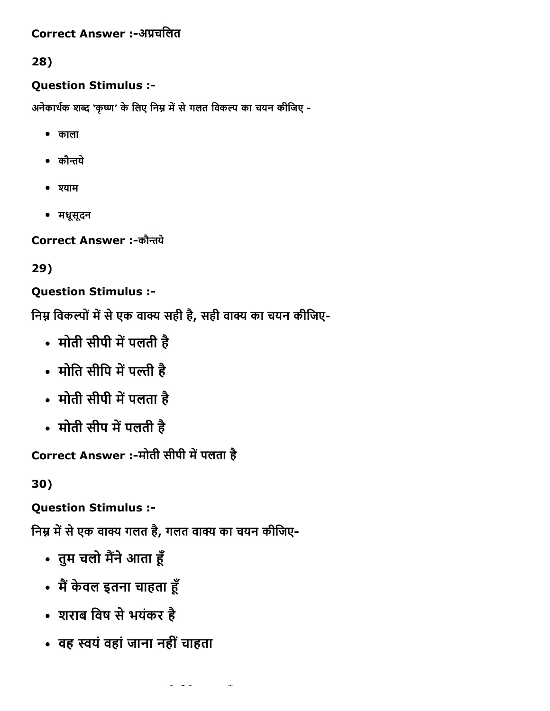### Correct Answer :-अप्रचलित

28)

#### Question Stimulus :

अनेकार्थक शब्द 'कृष्ण' के लिए निम्न में से गलत विकल्प का चयन कीजिए -

- काला
- $\bullet$  कौन्तये
- ‰‰ाम
- मधूसूदन

Correct Answer :-कौन्तये

29)

### Question Stimulus :

निम्न विकल्पों में से एक वाक्य सही है, सही वाक्य का चयन कीजिए-

- मोती सीपी में पलती है
- मोति सीपि में पल्ती है
- मोती सीपी में पलता है
- मोती सीप में पलती है

Correct Answer :-मोती सीपी में पलता है

30)

Question Stimulus :

निम्न में से एक वाक्य गलत है, गलत वाक्य का चयन कीजिए-

- तुम चलो मैंने आता हूँ
- मैं केवल इतना चाहता हूँ
- शराब िवष सेभयंकर है
- वह स्वयं वहां जाना नहीं चाहता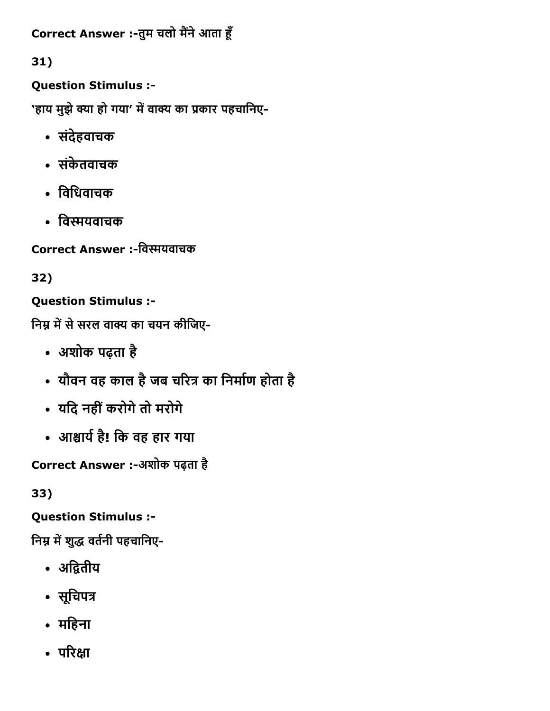```
Correct Answer :-तुम चलो मैंने आता हूँ
```
31)

Question Stimulus :

'हाय मुझे क्या हो गया' में वाक्य का प्रकार पहचानिए-

- संदेहवाचक
- संकेतवाचक
- िविधवाचक
- विस्मयवाचक

Correct Answer :-विस्मयवाचक

32)

Question Stimulus :

निम्न में से सरल वाक्य का चयन कीजिए-

- अशोक पढ़ता है
- यौवन वह काल है जब चरित्र का निर्माण होता है
- यिद नहींकरोगेतो मरोगे
- आㄠㄸाय㘷㜰है! िक वह हार गया

Correct Answer :-अशोक पढ़ता है

33)

Question Stimulus :

निम्न में शुद्ध वर्तनी पहचानिए-

- अद्वितीय
- सूचिपत्र
- मिहना
- परिक्षा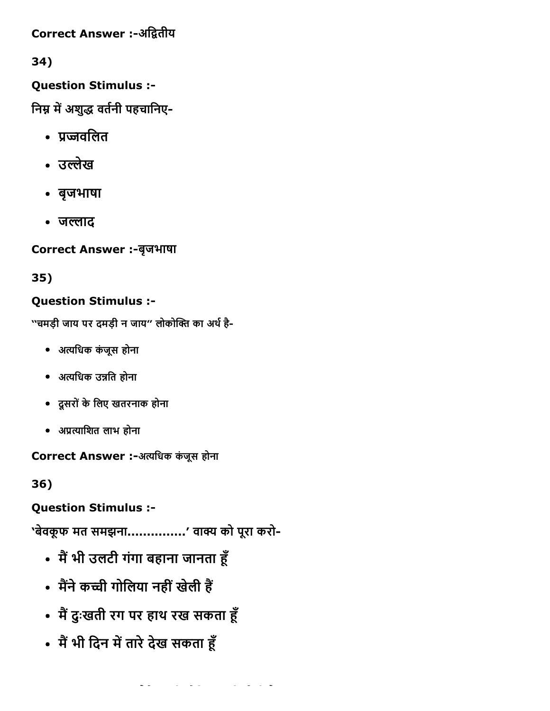Correct Answer :-अद्वितीय

34)

### Question Stimulus :

निम्न में अशुद्ध वर्तनी पहचानिए-

- प्रज्जवलित
- उल्लेख
- बृजभाषा
- जल्लाद

Correct Answer :-बृजभाषा

35)

# Question Stimulus :

''चमड़ी जाय पर दमड़ी न जाय'' लोकोक्ति का अर्थ है-

- अ‰㌊िधक कंजूस होना
- अत्यधिक उन्नति होना
- दूसरोंकेिलए खतरनाक होना
- अ‱੪‰㌊ािशत लाभ होना

Correct Answer :-अत्यधिक कंजूस होना

36)

Question Stimulus :

'बेवकूफ मत समझना...............' वाक्य को पूरा करो-

- मैं भी उलटी गंगा बहाना जानता हूँ
- मैंने कच्ची गोलिया नहीं खेली हैं
- मैं दुःखती रग पर हाथ रख सकता हूँ
- मैं भी दिन में तारे देख सकता हूँ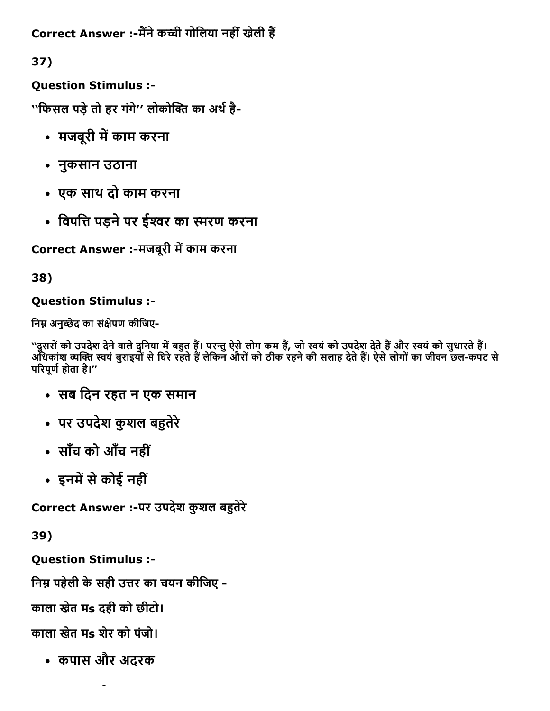Correct Answer :-मैंने कच्ची गोलिया नहीं खेली हैं

37)

Question Stimulus :

''फिसल पड़े तो हर गंगे'' लोकोक्ति का अर्थ है-

- मजबूरी में काम करना
- नुकसान उठाना
- एक साथ दो काम करना
- विपत्ति पड़ने पर ईश्वर का स्मरण करना

Correct Answer :-मजबूरी में काम करना

38)

### Question Stimulus :

निम्न अनुच्छेद का संक्षेपण कीजिए-

''दूसरों को उपदेश देने वाले दुनिया में बहुत हैं। परन्तु ऐसे लोग कम हैं, जो स्वयं को उपदेश देते हैं और स्वयं को सुधारते हैं। अधिकांश व्यक्ति स्वयं बुराइयों से घिरे रहते हैं लेकिन औरों को ठीक रहने की सलाह देते हैं। ऐसे लोगों का जीवन छल-कपट से परिपूर्ण होता है।''

- सब िदन रहत न एक समान
- पर उपदेश कुशल ब㌠ㄭतेरे
- साँच को आँच नहीं
- इनमें से कोई नहीं

Correct Answer :-पर उपदेश कुशल बहुतेरे

39)

Question Stimulus :

निम्न पहेली के सही उत्तर का चयन कीजिए -

काला खेत मs दही को छीटो।

काला खेत मs शेर को पंजो।

कपास और अदरक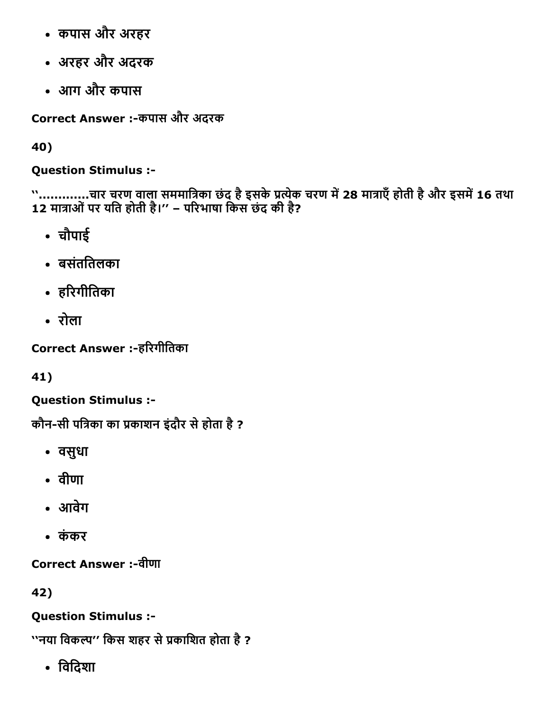- कपास और अरहर
- अरहर और अदरक
- आग और कपास

Correct Answer :-कपास और अदरक

40)

Question Stimulus :

'`.............चार चरण वाला सममात्रिका छंद है इसके प्रत्येक चरण में 28 मात्राएँ होती है और इसमें 16 तथा 12 मात्राओं पर यति होती है।'' – परिभाषा किस छंद की है?

- चौपाई
- बसंतितलका
- हरिगीतिका
- रोला

Correct Answer :-हरिगीतिका

41)

Question Stimulus :

कौन-सी पत्रिका का प्रकाशन इंदौर से होता है ?

- वसुधा
- वीणा
- आवेग
- कंकर

Correct Answer :वीणा

42)

Question Stimulus :

''नया विकल्प'' किस शहर से प्रकाशित होता है ?

िविदशा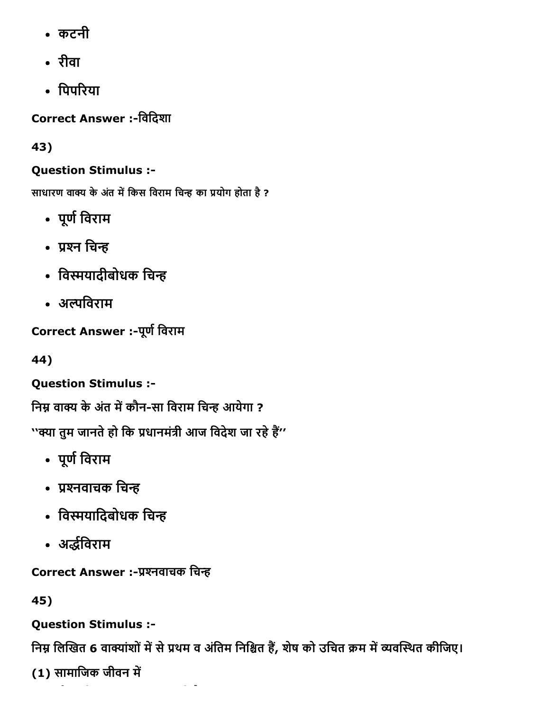- कटनी
- रीवा
- पिपरिया

Correct Answer :-विदिशा

43)

# Question Stimulus :

साधारण वाक्य के अंत में किस विराम चिन्ह का प्रयोग होता है ?

- पूर्ण विराम
- प्रश्न चिन्ह
- विस्मयादीबोधक चिन्ह
- अल्पविराम

Correct Answer :- पूर्ण विराम

44)

Question Stimulus :

निम्न वाक्य के अंत में कौन-सा विराम चिन्ह आयेगा ?

''क्या तुम जानते हो कि प्रधानमंत्री आज विदेश जा रहे हैं''

- पूर्ण विराम
- ∙ प्रश्नवाचक चिन्ह
- विस्मयादिबोधक चिन्ह
- अर्द्धविराम

Correct Answer :-प्रश्नवाचक चिन्ह

45)

Question Stimulus :

निम्न लिखित 6 वाक्यांशों में से प्रथम व अंतिम निश्चित हैं, शेष को उचित क्रम में व्यवस्थित कीजिए।

(1) सामाजिक जीवन में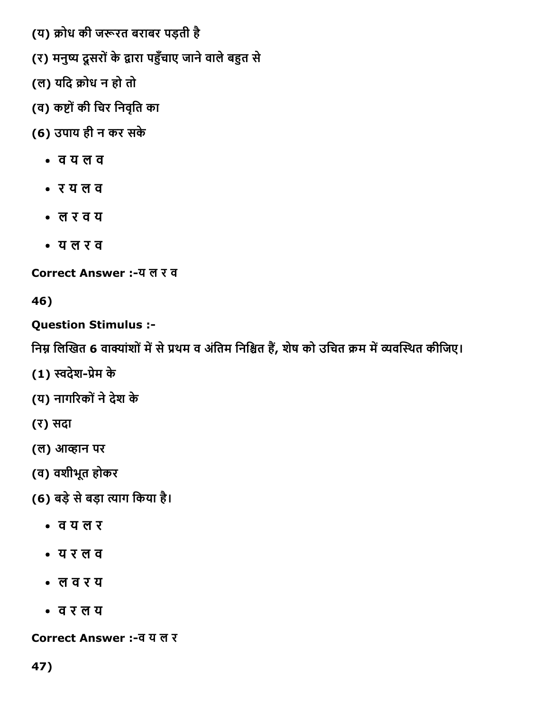- (य) क्रोध की जरूरत बराबर पड़ती है
- (र) मनुष्य दूसरों के द्वारा पहुँचाए जाने वाले बहुत से
- (ल) यदि क्रोध न हो तो
- (व) कष्टों की चिर निवृति का
- (6) उपाय ही न कर सके
	- व य ल व
	- र य ल व
	- ल र व य
	- य ल र व

Correct Answer :-य ल र व

46)

# Question Stimulus :

निम्न लिखित 6 वाक्यांशों में से प्रथम व अंतिम निश्चित हैं, शेष को उचित क्रम में व्यवस्थित कीजिए।

- (1) स्वदेश-प्रेम के
- (य) नागरिकों ने देश के
- (र) सदा
- (ल) आ‰‰ान पर
- (व) वशीभूत होकर
- (6) बड़ेसेबड़ा ‰㌊ाग िकया है।
	- व य ल र
	- य र ल व
	- ल व र य
	- व र ल य

Correct Answer :व य ल र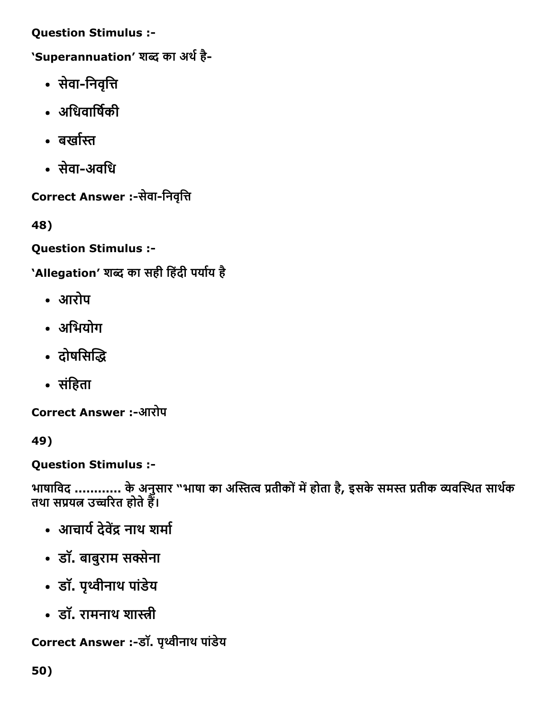Question Stimulus :

'Superannuation' शब्द का अर्थ है-

- सेवा-निवृत्ति
- अधिवार्षिकी
- बर्खास्त
- सेवा-अवधि

Correct Answer :-सेवा-निवृत्ति

48)

Question Stimulus :

'Allegation' शब्द का सही हिंदी पर्याय है

- आरोप
- अिभयोग
- दोषसिद्धि
- संहिता

Correct Answer :आरोप

49)

Question Stimulus :

भाषाविद ............ के अनुसार "भाषा का अस्तित्व प्रतीकों में होता है, इसके समस्त प्रतीक व्यवस्थित साथेक तथा सप्रयंत उच्चरित होते हैं।

- आचार्य देवेंद्र नाथ शर्मा
- डॉ. बाबुराम सꛕेना
- डॉ. पृ〱‰ीनाथ पांडेय
- डॉ. रामनाथ शास्त्री

Correct Answer :-डॉ. पृथ्वीनाथ पांडेय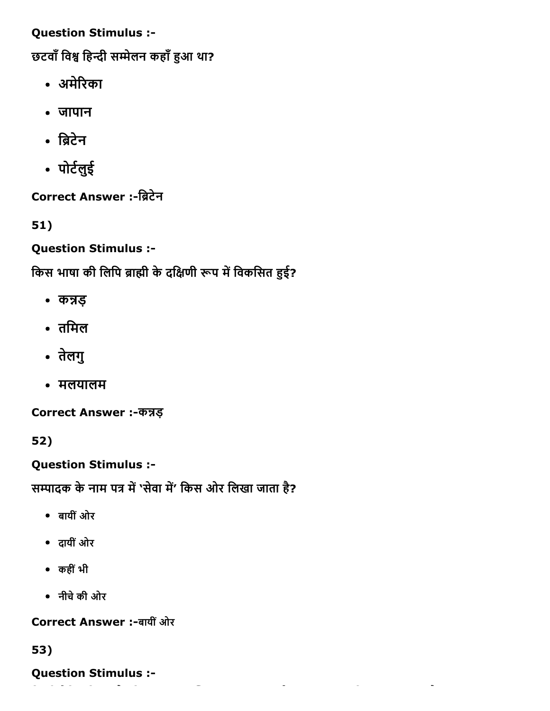Question Stimulus :

छटवाँ विश्व हिन्दी सम्मेलन कहाँ हुआ था?

- अमेरिका
- जापान
- ब्रिटेन
- पोट㘷㜰लुई

Correct Answer :-ब्रिटेन

51)

Question Stimulus :

किस भाषा की लिपि ब्राह्मी के दक्षिणी रूप में विकसित हुई?

- कन्नड़
- तिमल
- तेलगु
- मलयालम

Correct Answer :-कन्नड़

52)

Question Stimulus :

सम्पादक के नाम पत्र में 'सेवा में' किस ओर लिखा जाता है?

- बायींओर
- दायींओर
- कहींभी
- नीचेकी ओर

Correct Answer :बायींओर

53)

Question Stimulus :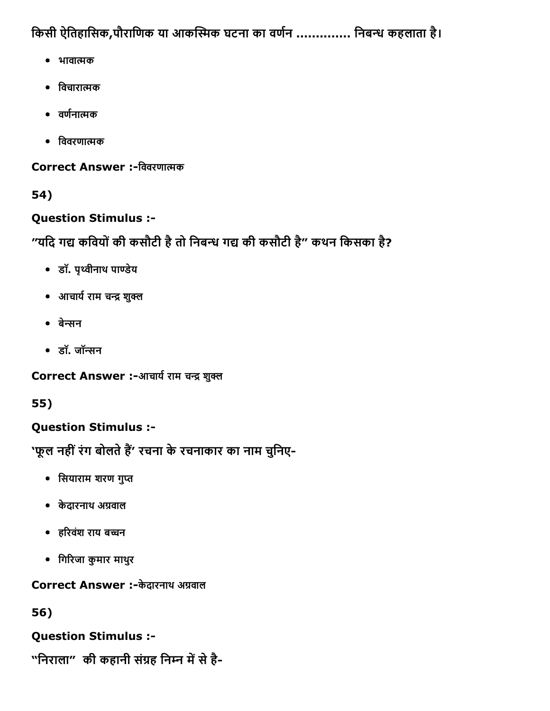किसी ऐतिहासिक,पौराणिक या आकस्मिक घटना का वर्णन .............. निबन्ध कहलाता है।

- भावात्मक
- विचारात्मक
- $\bullet$  वर्णनात्मक
- िववरणा㌠ㄭमक

Correct Answer :-विवरणात्मक

54)

# Question Stimulus :

"यदि गद्य कवियों की कसौटी है तो निबन्ध गद्य की कसौटी है" कथन किसका है?

- डॉ. पृꛕवीनाथ पा‰‰डेय
- आचार्य राम चन्द्र शुक्ल
- बेन्सन
- डॉ. जॉन्सन

Correct Answer :-आचार्य राम चन्द्र शुक्ल

55)

# Question Stimulus :

'फूल नहीं रंग बोलते हैं' रचना के रचनाकार का नाम चुनिए-

- सियाराम शरण गुप्त
- केदारनाथ अ㐰〼वाल
- हरिवंश राय बच्चन
- िग‰‰रजा कुमार माथरु

Correct Answer :-केदारनाथ अग्रवाल

56)

Question Stimulus :

"निराला" की कहानी संग्रह निम्न में से है-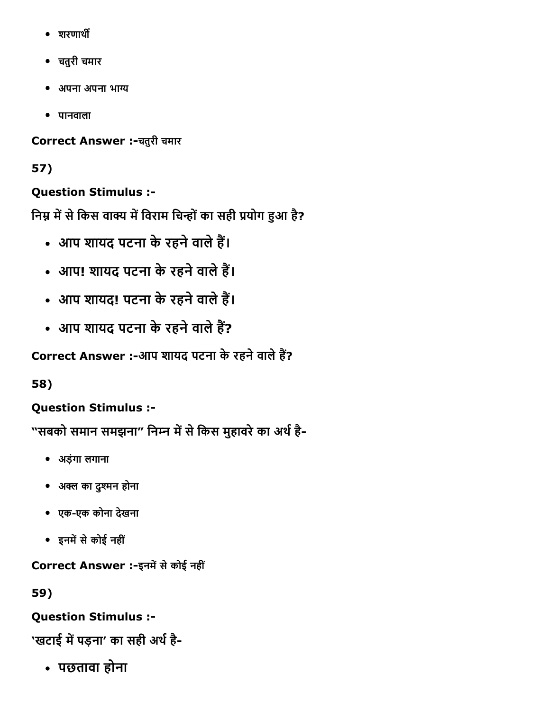- शरणार्थी
- चतुरी चमार
- अपना अपना भा㔰〼य
- पानवाला

Correct Answer :चतुरी चमार

# 57)

Question Stimulus :

निम्न में से किस वाक्य में विराम चिन्हों का सही प्रयोग हुआ है?

- आप शायद पटना के रहने वाले हैं।
- आप! शायद पटना के रहने वाले हैं।
- आप शायद! पटना के रहने वाले हैं।
- आप शायद पटना के रहने वाले हैं?

Correct Answer :-आप शायद पटना के रहने वाले हैं?

58)

Question Stimulus :

"सबको समान समझना" निम्न में से किस मुहावरे का अर्थ है-

- अड़ंगा लगाना
- अक्ल का दुश्मन होना
- एकएक कोना देखना
- इनमें से कोई नहीं

Correct Answer :-इनमें से कोई नहीं

59)

# Question Stimulus :

'खटाई में पड़ना' का सही अर्थ है-

पछतावा होना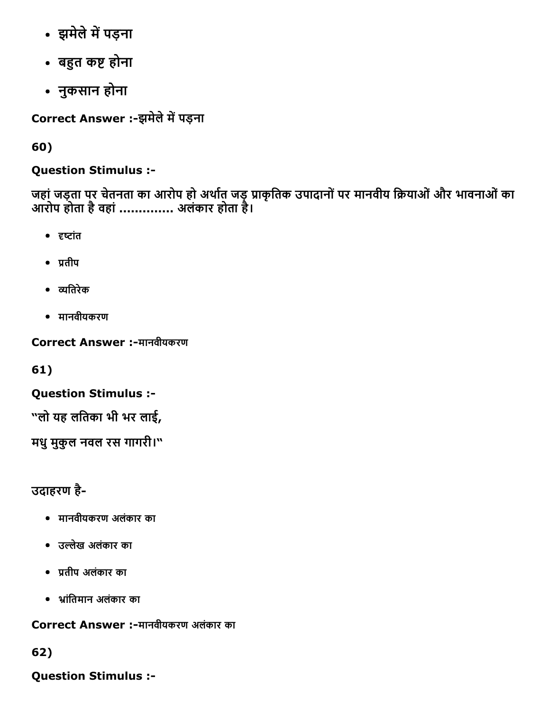- झमेले में पड़ना
- बहुत कष्ट होना
- नुकसान होना

Correct Answer :-झमेले में पड़ना

60)

# Question Stimulus :

जहां जड़ता पर चेतनता का आरोप हो अर्थात जड़ प्राकृतिक उपादानों पर मानवीय क्रियाओं और भावनाओं का आरोप होता हैवहां.............. अलंकार होता है।

- दृष्टांत
- $\bullet$  प्रतीप
- 吠㸰यितरेक
- मानवीयकरण

Correct Answer :-मानवीयकरण

61)

Question Stimulus :

"लो यह लितका भी भर लाई,

मधुमुकुल नवल रस गागरी।"

उदाहरण है

- मानवीयकरण अलंकार का
- उ㌠ㄭलेख अलंकार का
- ‱੪तीप अलंकार का
- ㄠ㠳ांितमान अलंकार का

Correct Answer :मानवीयकरण अलंकार का

# 62)

Question Stimulus :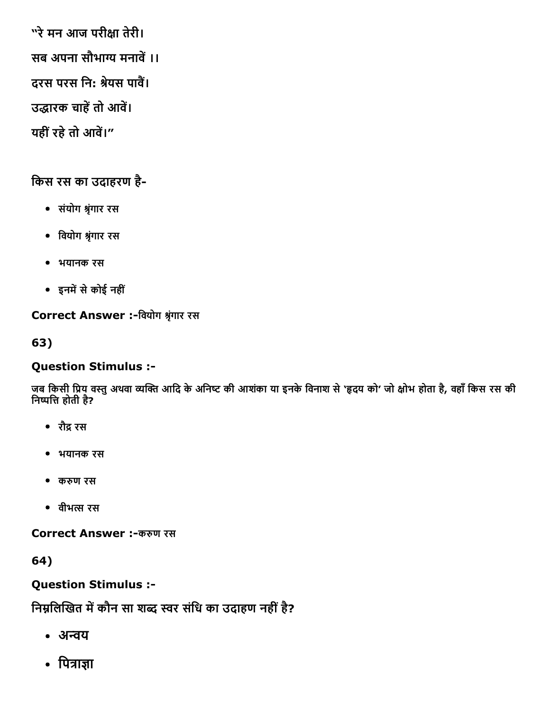"रे मन आज परीक्षा तेरी। सब अपना सौभाग्य मनावें ।। दरस परस नि: श्रेयस पावैं। उद्धारक चाहें तो आवें। यहीं रहे तो आवें।"

# िकस रस का उदाहरण है

- संयोग 吠㸷ृंगार रस
- िवयोग 吠㸷ृंगार रस
- भयानक रस
- इनम㌠ㄭसेकोई नहीं

Correct Answer :-वियोग श्रृंगार रस

63)

# Question Stimulus :

जब किसी प्रिय वस्तु अथवा व्यक्ति आदि के अनिष्ट की आशंका या इनके विनाश से 'हृदय को' जो क्षोभ होता है, वहाँ किस रस की निष्पत्ति होती है?

- रौꛕ रस
- भयानक रस
- क㔰〼ण रस
- वीभ㌠ㄭस रस

Correct Answer :-करुण रस

64)

Question Stimulus :

निम्नलिखित में कौन सा शब्द स्वर संधि का उदाहण नहीं है?

- अन्वय
- पित्राज्ञा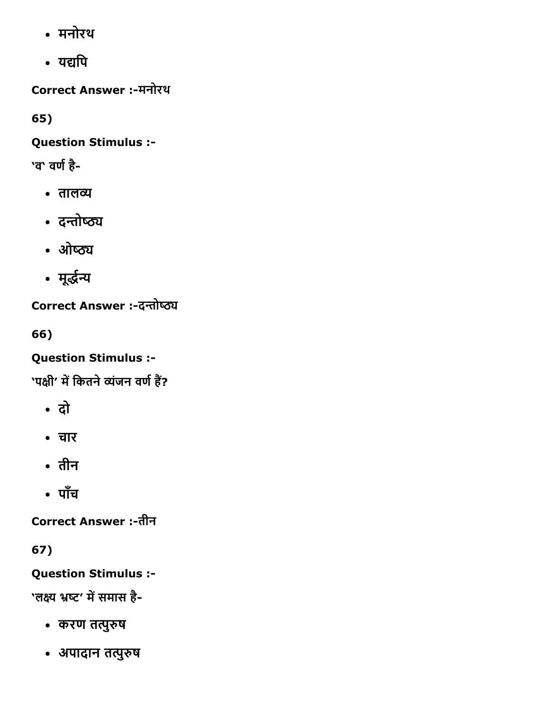- मनोरथ
- यद्यपि

Correct Answer :मनोरथ

65)

Question Stimulus :

'व' वर्ण है-

- तालव्य
- दन्तोष्ठ्य
- ओष्ठ्य
- मूर्द्धन्य

Correct Answer :-दन्तोष्ठ्य

66)

Question Stimulus :

'पक्षी' में कितने व्यंजन वर्ण हैं?

- दो
- चार
- तीन
- पाँच

**Correct Answer :-तीन** 

67)

Question Stimulus :

'लक्ष्य भ्रष्ट' में समास है-

- करण तत्पुरुष
- अपादान तत्पुरुष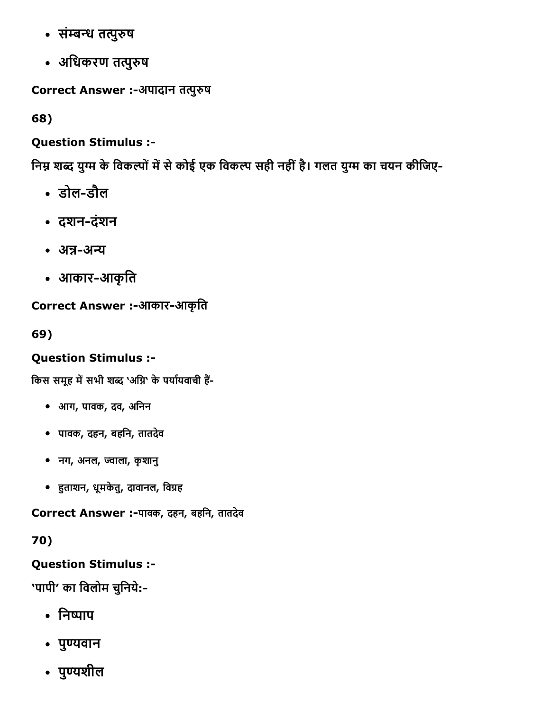- संम्बन्ध तत्पुरुष
- अधिकरण तत्पुरुष

Correct Answer :-अपादान तत्पुरुष

68)

Question Stimulus :

निम्न शब्द युग्म के विकल्पों में से कोई एक विकल्प सही नहीं है। गलत युग्म का चयन कीजिए-

- डोल-डौल
- दशनदंशन
- अन्न-अन्य
- आकार-आकृति

Correct Answer :-आकार-आकृति

69)

# Question Stimulus :

किस समूह में सभी शब्द 'अग्नि' के पर्यायवाची हैं-

- आग, पावक, दव, अिनन
- पावक, दहन, बहिन, तातदेव
- नग, अनल, 㔰〼ाला, कृशानु
- हुताशन, धूमकेतु, दावानल, विग्रह

Correct Answer :-पावक, दहन, बहनि, तातदेव

70)

Question Stimulus :

'पापी' का विलोम चुनिये:-

- निष्पाप
- पुण्यवान
- पुण्यशील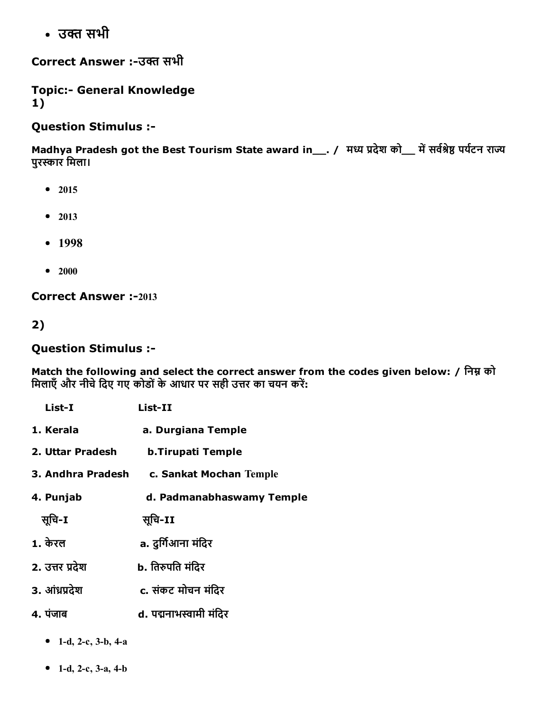• उक्त सभी

Correct Answer :-उक्त सभी

**Topic:- General Knowledge** 1)

Question Stimulus :

Madhya Pradesh got the Best Tourism State award in\_\_. / मध्य प्रदेश को\_\_ में सर्वश्रेष्ठ पर्यटन राज्य पुरस्कार मिला।

- $2015$
- 2013
- $-1998$
- $2000$

**Correct Answer :-2013** 

2)

#### Question Stimulus :

Match the following and select the correct answer from the codes given below: / निम्न को मिलाएँ और नीचे दिए गए कोडों के आधार पर सही उत्तर का चयन करें:

| List-I            | $List-II$                 |  |  |
|-------------------|---------------------------|--|--|
| 1. Kerala         | a. Durgiana Temple        |  |  |
| 2. Uttar Pradesh  | <b>b.Tirupati Temple</b>  |  |  |
| 3. Andhra Pradesh | c. Sankat Mochan Temple   |  |  |
| 4. Punjab         | d. Padmanabhaswamy Temple |  |  |
| सुचि-I            | सूचि-II                   |  |  |
| 1. केरल           | a. दुर्गिआना मंदिर        |  |  |
| 2. उत्तर प्रदेश   | b. तिरुपति मंदिर          |  |  |
| 3. आंध्रप्रदेश    | c. संकट मोचन मंदिर        |  |  |
| 4. पंजाब          | d. पद्मनाभस्वामी मंदिर    |  |  |

- 1-d, 2-c, 3-b, 4-a
- 1-d, 2-c, 3-a, 4-b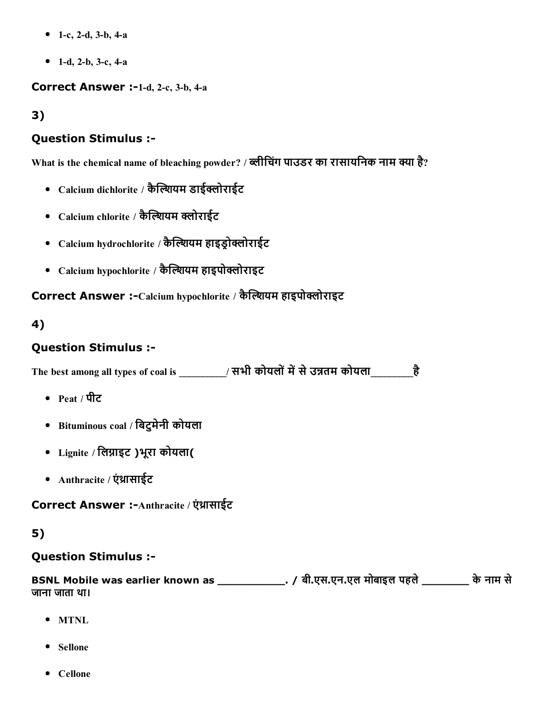- 1-c, 2-d, 3-b, 4-a
- 1-d, 2-b, 3-c, 4-a

#### Correct Answer :-1-d, 2-c, 3-b, 4-a

3)

### Question Stimulus :

What is the chemical name of bleaching powder? / ब्लीचिंग पाउडर का रासायनिक नाम क्या है?

- Calcium dichlorite / कैल्शियम डाईक्लोराईट
- Calcium chlorite / कैल्शियम क्लोराईट
- Calcium hydrochlorite / कैल्शियम हाइड़ोक्लोराईट
- Calcium hypochlorite / कैल्शियम हाइपोक्लोराइट

Correct Answer :-Calcium hypochlorite / कैल्शियम हाइपोक्लोराइट

#### 4)

### Question Stimulus :

The best among all types of coal is  $\overrightarrow{R}$  सभी कोयलों में से उन्नतम कोयला $\overrightarrow{R}$ 

- Peat / पीट
- Bituminous coal / िबटुमेनी कोयला
- Lignite / लिग्नाइट )भूरा कोयला(
- Anthracite / एंथ्रासाईट

Correct Answer :- Anthracite / एंथ्रासाईट

### 5)

#### Question Stimulus :

BSNL Mobile was earlier known as \_\_\_\_\_\_\_\_\_\_. / बी.एस.एन.एल मोबाइल पहले\_\_\_\_\_\_\_ केनाम से जाना जाता था।

- MTNL
- Sellone
- Cellone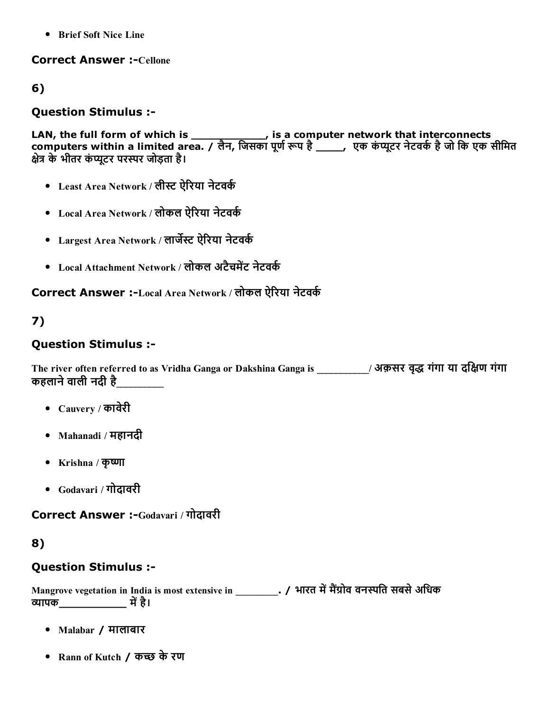Brief Soft Nice Line

#### **Correct Answer :- Cellone**

#### 6)

#### Question Stimulus :

LAN, the full form of which is \_\_\_\_\_\_\_\_\_\_\_\_\_, is a computer network that interconnects computers within a limited area. / लैन, जिसका पूर्ण रूप है \_\_\_\_\_, एक कंप्यूटर नेटवर्क है जो कि एक सीमित क्षेत्र के भीतर कंप्यूटर परस्पर जोड़ता है।

- Least Area Network / लीस्ट ऐरिया नेटवर्क
- Local Area Network / लोकल ऐरिया नेटवर्क
- Largest Area Network / लार्जेस्ट ऐरिया नेटवर्क
- Local Attachment Network / लोकल अटैचमेंट नेटवर्क

### Correct Answer :-Local Area Network / लोकल ऐरिया नेटवर्क

# 7)

#### Question Stimulus :

The river often referred to as Vridha Ganga or Dakshina Ganga is \_\_\_\_\_\_\_\_\_\_\_/ अक़सर वृद्ध गंगा या दक्षिण गंगा कहलाने वाली नदी है

- Cauvery / कावेरी
- Mahanadi / महानदी
- Krishna / कृष्णा
- Godavari / गोदावरी

Correct Answer :-Godavari / गोदावरी

#### 8)

#### Question Stimulus :

Mangrove vegetation in India is most extensive in \_\_\_\_\_\_\_\_\_\_. / भारत में मैंग्रोव वनस्पति सबसे अधिक 㔰〼ापक\_\_\_\_\_\_\_\_\_\_ म㌠ㄭहै।

- Malabar / मालाबार
- Rann of Kutch / कच्छ के रण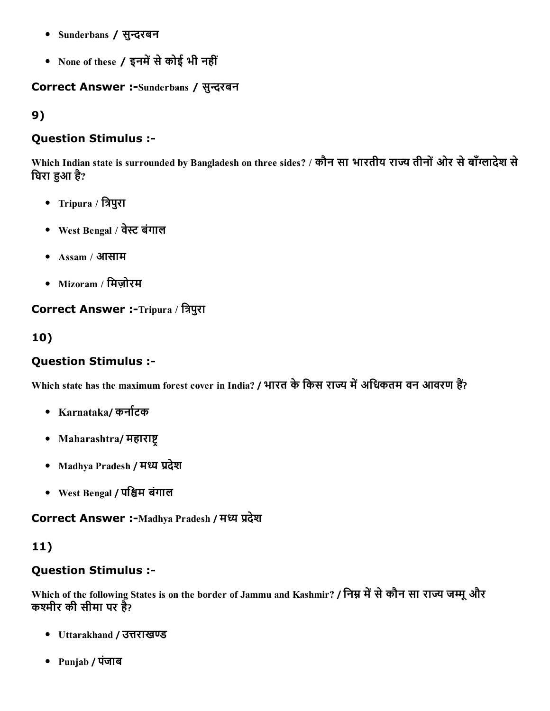- Sunderbans / सुन्दरबन
- None of these / इनमें से कोई भी नहीं

#### Correct Answer :-Sunderbans / सुन्दरबन

9)

### Question Stimulus :

Which Indian state is surrounded by Bangladesh on three sides? / कौन सा भारतीय राज्य तीनों ओर से बाँग्लादेश से घिरा हुआ है?

- Tripura / त्रिपुरा
- West Bengal / वेस्ट बंगाल
- Assam / आसाम
- Mizoram / मिजोरम

# Correct Answer :-Tripura / त्रिपुरा

# 10)

# Question Stimulus :

Which state has the maximum forest cover in India? / भारत के किस राज्य में अधिकतम वन आवरण हैं?

- Karnataka/ कर्नाटक
- Maharashtra/ महाराष्ट
- Madhya Pradesh / मध्य प्रदेश
- West Bengal / पश्चिम बंगाल

Correct Answer :-Madhya Pradesh / मध्य प्रदेश

# 11)

### Question Stimulus :

Which of the following States is on the border of Jammu and Kashmir? / निम्न में से कौन सा राज्य जम्मू और कश्मीर की सीमा पर है?

- Uttarakhand / उत्तराखण्ड
- Punjab / पंजाब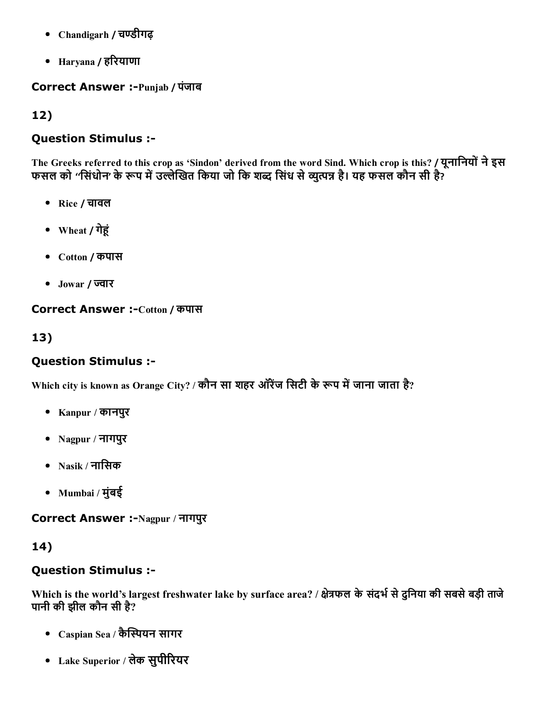- Chandigarh / चण्डीगढ़
- $\bullet$  Haryana / हरियाणा

#### **Correct Answer :- Punjab / पंजाब**

## 12)

### Question Stimulus :

The Greeks referred to this crop as 'Sindon' derived from the word Sind. Which crop is this? / यूनानियों ने इस फसल को ''सिंधोन' के रूप में उल्लेखित किया जो कि शब्द सिंध से व्युत्पन्न है। यह फसल कौन सी है?

- Rice / चावल
- Wheat / गेहूं
- Cotton / कपास
- Jowar / ज्वार

#### Correct Answer :-Cotton / कपास

### 13)

### Question Stimulus :

Which city is known as Orange City? / कौन सा शहर ऑरेंज सिटी के रूप में जाना जाता है?

- Kanpur / कानपुर
- Nagpur / नागपुर
- Nasik / नािसक
- Mumbai / मुंबई

Correct Answer :-Nagpur / नागपुर

### 14)

#### Question Stimulus :

Which is the world's largest freshwater lake by surface area? / क्षेत्रफल के संदर्भ से दुनिया की सबसे बड़ी ताजे पानी की झील कौन सी है?

- Caspian Sea / कैस्पियन सागर
- Lake Superior / लेक सुपीरियर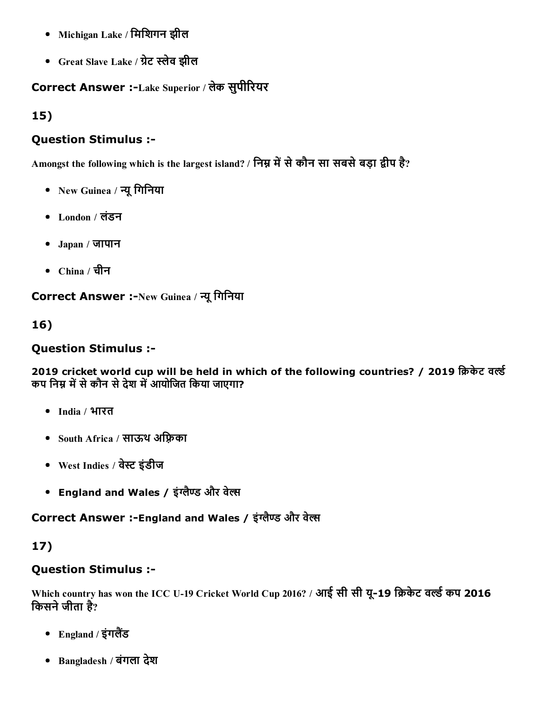- Michigan Lake / मिशिगन झील
- Great Slave Lake / ग्रेट स्लेव झील

# Correct Answer :-Lake Superior / लेक सुपीरियर

15)

### Question Stimulus :

Amongst the following which is the largest island? / निम्न में से कौन सा सबसे बड़ा द्वीप है?

- New Guinea / न्यू गिनिया
- London / लंडन
- Japan / जापान
- China / चीन

Correct Answer :-New Guinea / न्यू गिनिया

16)

### Question Stimulus :

2019 cricket world cup will be held in which of the following countries? / 2019 क्रिकेट वर्ल्ड कप निम्न में से कौन से देश में आयोजित किया जाएगा?

- India / भारत
- South Africa / साऊथ अफ्रिका
- West Indies / वेस्ट इंडीज
- England and Wales / इंग्लैण्ड और वेल्स

Correct Answer :-England and Wales / इंग्लैण्ड और वेल्स

# 17)

# Question Stimulus :

Which country has won the ICC U-19 Cricket World Cup 2016? / आई सी सी यू-19 क्रिकेट वर्ल्ड कप 2016 किसने जीता है?

- England / इंगलैंड
- Bangladesh / बंगला देश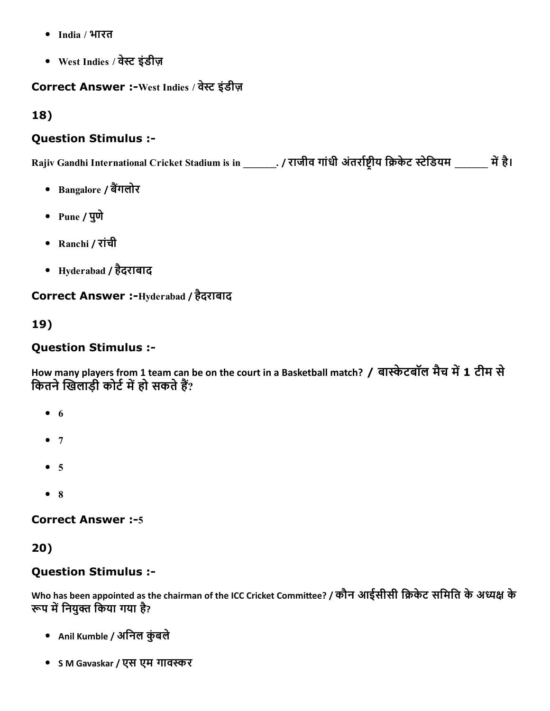- India / भारत
- West Indies / वेꛕ इंडीज़

## Correct Answer :-West Indies / वेस्ट इंडीज़

18)

### Question Stimulus :

Rajiv Gandhi International Cricket Stadium is in \_\_\_\_\_\_. / राजीव गांधी अंतर्राष्ट्रीय क्रिकेट स्टेडियम \_\_\_\_\_\_ में है।

- Bangalore / बैंगलोर
- Pune / पुणे
- Ranchi / रांची
- Hyderabad / हैदराबाद

Correct Answer :-Hyderabad / हैदराबाद

19)

# Question Stimulus :

How many players from 1 team can be on the court in a Basketball match? / बास्केटबॉल मैच में 1 टीम से कितने खिलाड़ी कोर्ट में हो सकते हैं?

- $6$
- $7$
- $5$
- 8

#### **Correct Answer :- 5**

20)

### Question Stimulus :

Who has been appointed as the chairman of the ICC Cricket Committee? / कौन आईसीसी क्रिकेट समिति के अध्यक्ष के रूप में नियुक्त किया गया है?

- Anil Kumble / अनिल कुंबले
- S M Gavaskar / एस एम गावस्कर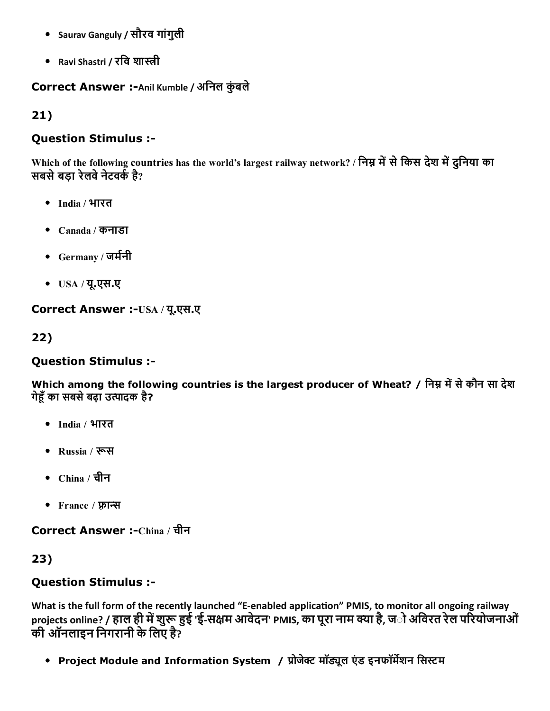- Saurav Ganguly / सौरव गांगुली
- Ravi Shastri / रवि शास्त्री

### Correct Answer :- Anil Kumble / अनिल कुंबले

21)

### Question Stimulus :

Which of the following countries has the world's largest railway network? / निम्न में से किस देश में दुनिया का सबसे बड़ा रेलवे नेटवर्क है?

- India / भारत
- Canada / कनाडा
- Germany / जर्मनी
- USA / यू.एस.ए

Correct Answer :-USA / यू.एस.ए

22)

#### Question Stimulus :

Which among the following countries is the largest producer of Wheat? / निम्न में से कौन सा देश गेहूँ का सबसे बढ़ा उत्पादक है?

- India / भारत
- Russia / रूस
- China / चीन
- France / फ़्रान्स

Correct Answer :-China / चीन

23)

### Question Stimulus :

What is the full form of the recently launched "E-enabled application" PMIS, to monitor all ongoing railway projects online? / हाल ही में शुरू हुई 'ई-सक्षम आवेदन' PMIS, का पूरा नाम क्या है, ज**ो अविरत रेल परियोजनाओं** की ऑनलाइन निगरानी के लिए है?

• Project Module and Information System / प्रोजेक्ट मॉड्यूल एंड इनफॉर्मेशन सिस्टम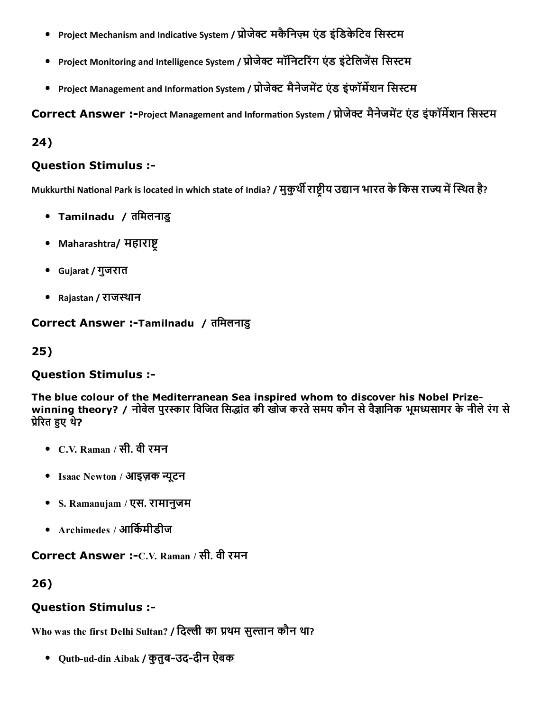- Project Mechanism and Indicative System / प्रोजेक्ट मकैनिज़्म एंड इंडिकेटिव सिस्टम
- Project Monitoring and Intelligence System / प्रोजेक्ट मॉनिटरिंग एंड इंटेलिजेंस सिस्टम
- Project Management and Information System / प्रोजेक्ट मैनेजमेंट एंड इंफॉर्मेशन सिस्टम

Correct Answer :-Project Management and Information System / प्रोजेक्ट मैनेजमेंट एंड इंफॉर्मेशन सिस्टम

24)

#### Question Stimulus :

Mukkurthi National Park is located in which state of India? / मुकुर्थी राष्टीय उद्यान भारत के किस राज्य में स्थित है?

- Tamilnadu / तिमलनाडु
- Maharashtra/ महाराष्ट
- Gujarat / गुजरात
- Rajastan / राजस्थान

Correct Answer :-Tamilnadu / तमिलनाडु

25)

### Question Stimulus :

The blue colour of the Mediterranean Sea inspired whom to discover his Nobel Prizewinning theory? / नोबेल पुरस्कार विजित सिद्धांत की खोज करते समय कौन से वैज्ञानिक भूमध्यसागर के नीले रंग से प्रेरित हुए थे?

- C.V. Raman / सी. वी रमन
- Isaac Newton / आइज़क न्यूटन
- S. Ramanujam / एस. रामानुजम
- $\Delta$ rchimedes / आर्किमीडीज

Correct Answer :-C.V. Raman / सी. वी रमन

26)

### Question Stimulus :

Who was the first Delhi Sultan? / दिल्ली का प्रथम सुल्तान कौन था?

• Qutb-ud-din Aibak / कुतुब-उद-दीन ऐबक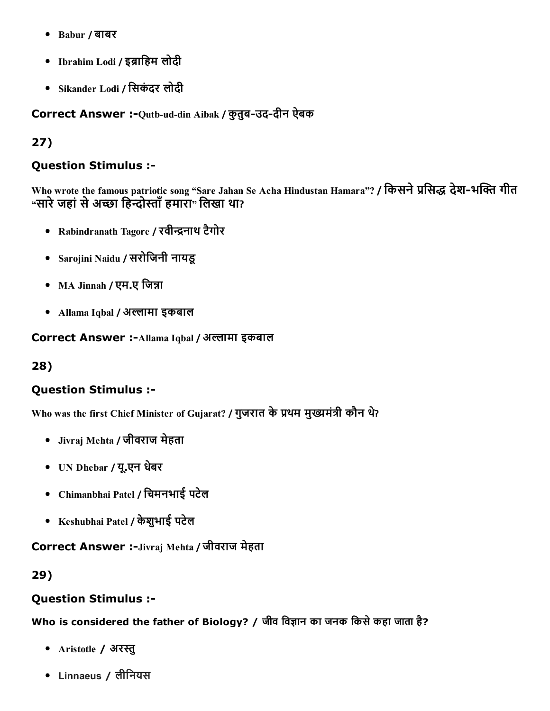- Babur / बाबर
- Ibrahim Lodi / इब्राहिम लोदी
- Sikander Lodi / िसकंदर लोदी

Correct Answer :- Qutb-ud-din Aibak / क़ुतूब-उद-दीन ऐबक

# 27)

### Question Stimulus :

Who wrote the famous patriotic song "Sare Jahan Se Acha Hindustan Hamara"? / किसने प्रसिद्ध देश-भक्ति गीत "सारे जहां से अच्छा हिन्दोस्ताँ हमारा" लिखा था?

- Rabindranath Tagore / रवीन्द्रनाथ टैगोर
- Sarojini Naidu / सरोिजनी नायडू
- MA Jinnah / एम.ए जिन्ना
- Allama Iqbal / अल्लामा इकबाल

Correct Answer :- Allama Iqbal / अल्लामा इकबाल

#### 28)

### Question Stimulus :

Who was the first Chief Minister of Gujarat? / गुजरात के प्रथम मुख्यमंत्री कौन थे?

- Jivraj Mehta / जीवराज मेहता
- UN Dhebar / यू.एन धबेर
- Chimanbhai Patel / िचमनभाई पटेल
- Keshubhai Patel / केशुभाई पटेल

Correct Answer :-Jivraj Mehta / जीवराज मेहता

#### 29)

#### Question Stimulus :

Who is considered the father of Biology? / जीव विज्ञान का जनक किसे कहा जाता है?

- Aristotle / अरस्तु
- Linnaeus / लीिनयस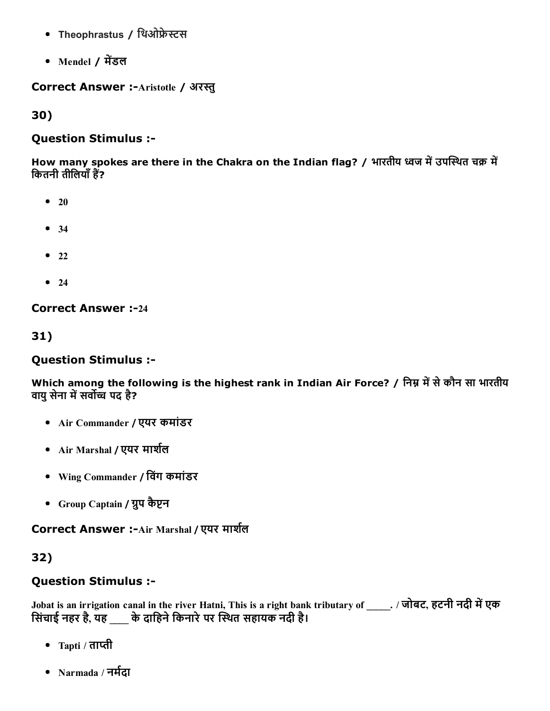- Theophrastus / थिओफ्रेस्टस
- Mendel / मेंडल

Correct Answer :- Aristotle / अरस्तु

30)

#### Question Stimulus :

How many spokes are there in the Chakra on the Indian flag? / भारतीय ध्वज में उपस्थित चक्र में कितनी तीलियाँ हैं?

- $20$
- 34
- $22$
- $24$

**Correct Answer :-24** 

31)

#### Question Stimulus :

Which among the following is the highest rank in Indian Air Force? / निम्न में से कौन सा भारतीय वायु सेना में सर्वोच्च पद है?

- Air Commander / एयर कमांडर
- Air Marshal / एयर मार्शल
- Wing Commander / िवंग कमांडर
- Group Captain / ग्लप कैप्टन

Correct Answer :-Air Marshal / एयर मार्शल

#### 32)

#### Question Stimulus :

Jobat is an irrigation canal in the river Hatni, This is a right bank tributary of ... / जोबट, हटनी नदी में एक सिंचाई नहर है, यह \_\_\_\_ के दाहिने किनारे पर स्थित सहायक नदी है।

- Tapti / ताप्ती
- Narmada / नर्मदा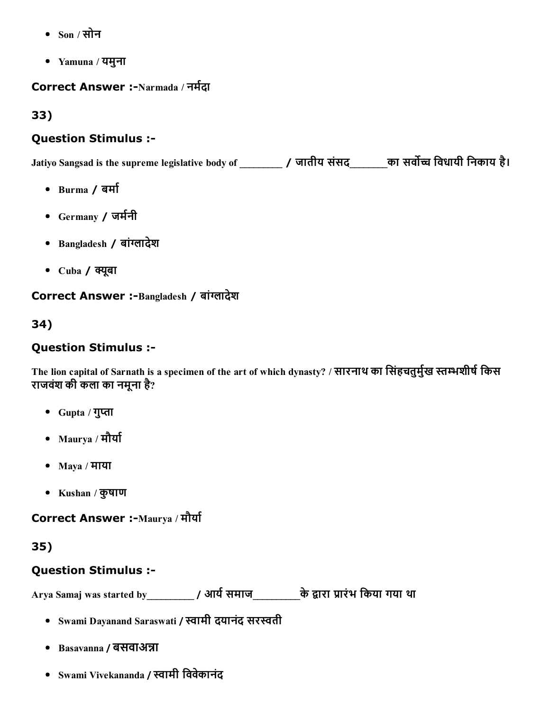- Son / सोन
- Yamuna / यमुना

Correct Answer :-Narmada / नर्मदा

33)

## Question Stimulus :

Jatiyo Sangsad is the supreme legislative body of \_\_\_\_\_\_\_\_\_ / जातीय संसद\_\_\_\_\_\_\_\_का सर्वोच्च विधायी निकाय है।

- Burma / बर्मा
- Germany / जर्मनी
- Bangladesh / बांग्लादेश
- $\bullet$  Cuba / क्यूबा

Correct Answer :-Bangladesh / बांग्लादेश

34)

# Question Stimulus :

The lion capital of Sarnath is a specimen of the art of which dynasty? / सारनाथ का सिंहचतुर्मुख स्तम्भशीर्ष किस राजवंश की कला का नमूना है?

- Gupta / गुप्ता
- Maurya / मौर्या
- Maya / माया
- Kushan / कुषाण

Correct Answer :-Maurya / मौर्या

35)

# Question Stimulus :

Arya Samaj was started by\_\_\_\_\_\_\_\_\_\_\_ / आर्य समाज\_\_\_\_\_\_\_\_\_\_के द्वारा प्रारंभ किया गया था

- Swami Dayanand Saraswati / स्वामी दयानंद सरस्वती
- Basavanna / बसवाअन्ना
- Swami Vivekananda / स्वामी विवेकानंद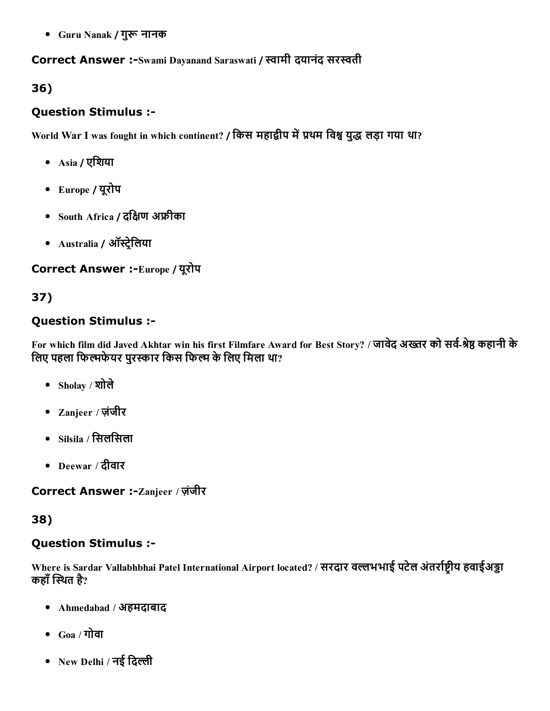• Guru Nanak / गुरू नानक

#### Correct Answer :-Swami Dayanand Saraswati / स्वामी दयानंद सरस्वती

### 36)

### Question Stimulus :

World War I was fought in which continent? / किस महाद्वीप में प्रथम विश्व युद्ध लड़ा गया था?

- Asia / एिशया
- Europe / यूरोप
- $\bullet$  South Africa / दक्षिण अफ्रीका
- Australia / ऑस्ट्रेलिया

Correct Answer :-Europe / यूरोप

# 37)

### Question Stimulus :

For which film did Javed Akhtar win his first Filmfare Award for Best Story? / जावेद अख्तर को सर्व-श्रेष्ठ कहानी के लिए पहला फिल्मफेयर पुरस्कार किस फिल्म के लिए मिला था?

- Sholay / शोले
- Zanjeer / ज़ंजीर
- $\bullet$  Silsila / सिलसिला
- Deewar / दीवार

Correct Answer :-Zanjeer / ज़ंजीर

### 38)

### Question Stimulus :

Where is Sardar Vallabhbhai Patel International Airport located? / सरदार वल्लभभाई पटेल अंतर्राष्टीय हवाईअड्डा कहाँ स्थित है?

- Ahmedabad / अहमदाबाद
- $Goa / \eta$ ोवा
- New Delhi / नई दिल्ली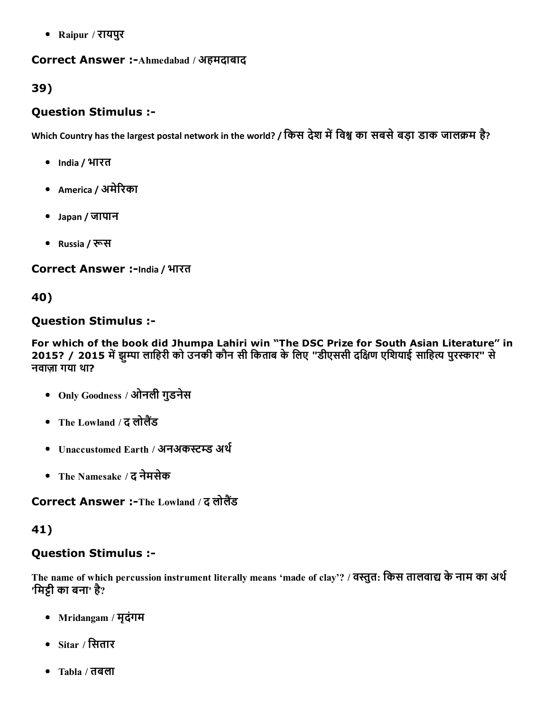Raipur / रायपुर

#### Correct Answer :-Ahmedabad / अहमदाबाद

#### 39)

#### Question Stimulus :

Which Country has the largest postal network in the world? / किस देश में विश्व का सबसे बड़ा डाक जालक्रम है?

- India / भारत
- America / अमेरिका
- Japan / जापान
- Russia / रूस

Correct Answer :-India / भारत

#### 40)

#### Question Stimulus :

For which of the book did Jhumpa Lahiri win "The DSC Prize for South Asian Literature" in 2015? / 2015 में झुम्पा लाहिरी को उनकी कौन सी किताब के लिए "डीएससी दक्षिण एशियाई साहित्य पुरस्कार" से नवाज़ा गया था?

- Only Goodness / ओनली गुडनेस
- The Lowland / द लोलैंड
- Unaccustomed Earth / अनअकस्टम्ड अर्थ
- The Namesake / द नेमसेक

Correct Answer :-The Lowland / द लोलैंड

#### 41)

#### Question Stimulus :

The name of which percussion instrument literally means 'made of clay'? / वस्तुत: किस तालवाद्य के नाम का अर्थ 'मिट्टी का बना' है?

- Mridangam / मृदंगम
- $\bullet$  Sitar / सितार
- Tabla / तबला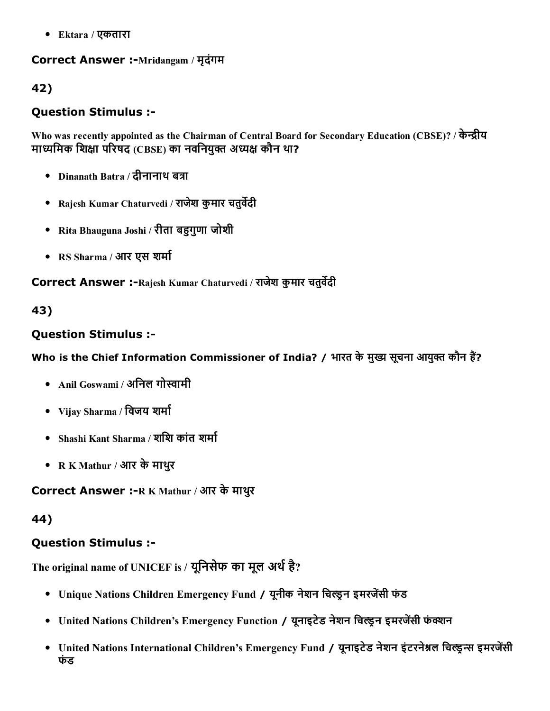Ektara / एकतारा

#### Correct Answer :-Mridangam / मृदंगम

### 42)

### Question Stimulus :

Who was recently appointed as the Chairman of Central Board for Secondary Education (CBSE)? / केन्द्रीय माध्यमिक शिक्षा परिषद (CBSE) का नवनियुक्त अध्यक्ष कौन था?

- Dinanath Batra / दीनानाथ बत्रा
- Rajesh Kumar Chaturvedi / राजेश कुमार चतुर्वेदी
- Rita Bhauguna Joshi / रीता बहुगुणा जोशी
- RS Sharma / आर एस शर्मा

Correct Answer :- Rajesh Kumar Chaturvedi / राजेश कुमार चतुर्वेदी

### 43)

### Question Stimulus :

Who is the Chief Information Commissioner of India? / भारत के मुख्य सूचना आयुक्त कौन हैं?

- Anil Goswami / अनिल गोस्वामी
- Vijay Sharma / विजय शर्मा
- Shashi Kant Sharma / शशि कांत शर्मा
- R K Mathur / आर केमाथरु

Correct Answer :-R K Mathur / आर के माथुर

#### 44)

### Question Stimulus :

The original name of UNICEF is / यूनिसेफ का मूल अर्थ है?

- Unique Nations Children Emergency Fund / यूनीक नेशन चिल्डन इमरजेंसी फंड
- United Nations Children's Emergency Function / यूनाइटेड नेशन चिल्ड्रन इमरजेंसी फंक्शन
- United Nations International Children's Emergency Fund / यूनाइटेड नेशन इंटरनेश्नल चिल्ड्न्स इमरजेंसी फंड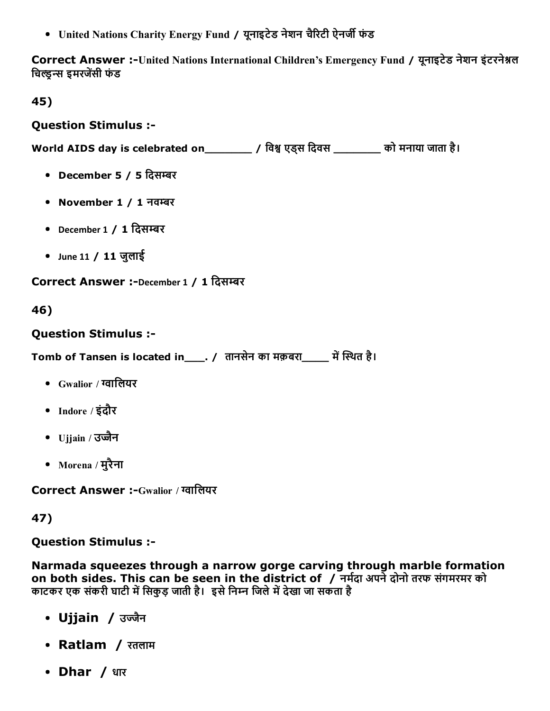• United Nations Charity Energy Fund / यूनाइटेड नेशन चैरिटी ऐनर्जी फंड

Correct Answer :-United Nations International Children's Emergency Fund / यूनाइटेड नेशन इंटरनेश्नल चिल्डन्स इमरजेंसी फंड

45)

### Question Stimulus :

World AIDS day is celebrated on\_\_\_\_\_\_\_\_\_\_ / विश्व एड्स दिवस \_\_\_\_\_\_\_\_ को मनाया जाता है।

- December 5 / 5 दिसम्बर
- November 1 / 1 नवम्बर
- December 1 / 1 दिसम्बर
- June 11 / 11 जुलाई

Correct Answer :-December 1 / 1 दिसम्बर

46)

### Question Stimulus :

Tomb of Tansen is located in \_\_\_. / तानसेन का मक़बरा \_\_\_\_ में स्थित है।

- $Gw$ alior / ग्वालियर
- Indore / इंदौर
- Ujjain / उज्जैन
- Morena / मुरैना

Correct Answer :-Gwalior / ग्वालियर

47)

Question Stimulus :

Narmada squeezes through a narrow gorge carving through marble formation on both sides. This can be seen in the district of  $\sqrt{ }$  नर्मदा अपने दोनो तरफ संगमरमर को काटकर एक संकरी घाटी में सिकुड़ जाती है। इसे निम्न जिले में देखा जा सकता है

- Ujjain */* उज्जैन
- Ratlam / रतलाम
- Dhar / धार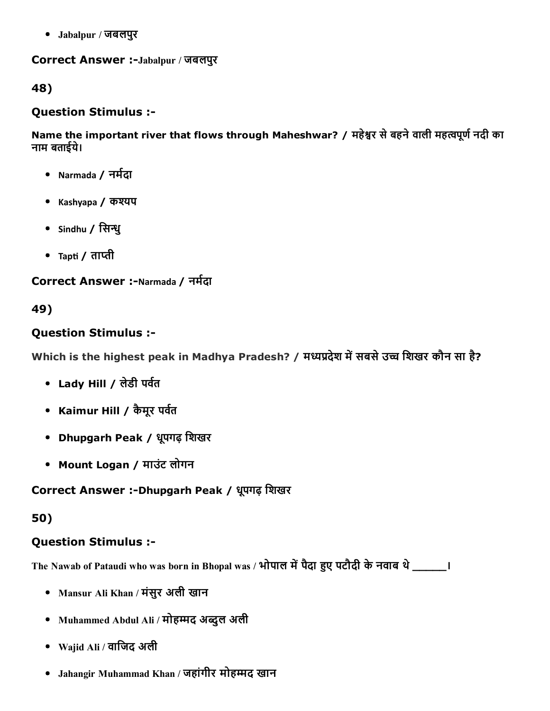Jabalpur / जबलपुर

Correct Answer :-Jabalpur / जबलपुर

48)

#### Question Stimulus :

Name the important river that flows through Maheshwar? / महेश्वर से बहने वाली महत्वपूर्ण नदी का नाम बताइ㘷㜰ये।

- Narmada / नर्मदा
- Kashyapa / कश्यप
- Sindhu / सिन्धु
- Tapti / ताप्ती

# Correct Answer :-Narmada / नर्मदा

# 49)

# Question Stimulus :

Which is the highest peak in Madhya Pradesh? / मध्यप्रदेश में सबसे उच्च शिखर कौन सा है?

- Lady Hill / लेडी पर्वत
- Kaimur Hill / कैमूर पर्वत
- Dhupgarh Peak / धपूगढ़ िशखर
- Mount Logan / माउंट लोगन

# Correct Answer :-Dhupgarh Peak / धूपगढ़ शिखर

### 50)

# Question Stimulus :

The Nawab of Pataudi who was born in Bhopal was / भोपाल में पैदा हुए पटौदी के नवाब थे \_\_\_\_\_\_।

- Mansur Ali Khan / मंसुर अली खान
- Muhammed Abdul Ali / मोहम्मद अब्दुल अली
- Wajid Ali / वाजिद अली
- Jahangir Muhammad Khan / जहांगीर मोहम्मद खान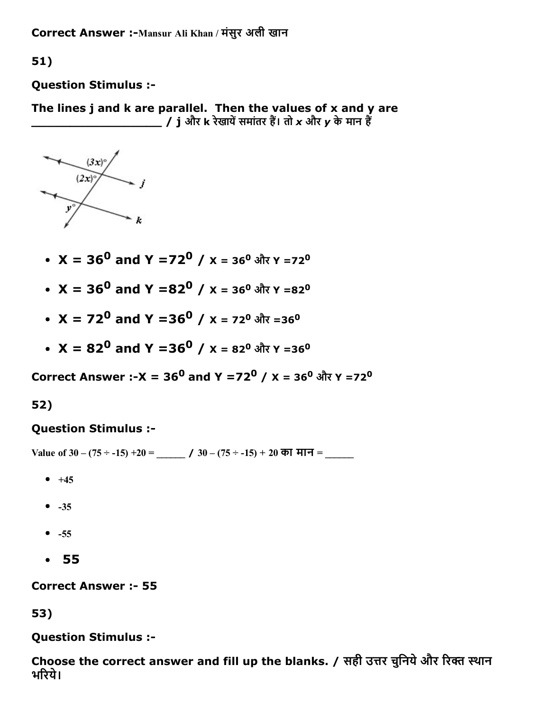Correct Answer :-Mansur Ali Khan / मंसुर अली खान

51)

Question Stimulus :

The lines  $j$  and  $k$  are parallel. Then the values of  $x$  and  $y$  are \_\_\_\_\_\_\_\_\_\_\_\_\_\_\_\_\_ / j और k रेखाय㌠ㄭसमांतर हꛕ। तो *x* और *y* केमान हꛕ



- $X = 36^0$  and Y =72 $^0$  / x = 36 $^0$  और Y =72 $^0$
- $\rm X = 36^0$  and Y =82 $^0$  / x = 36 $^0$  और Y =82 $^0$
- $\rm X$  = 72 $^{\rm 0}$  and Y =36 $^{\rm 0}$  / x = 72 $^{\rm 0}$  और =36 $^{\rm 0}$
- $\rm X = 82^0$  and Y =36 $^0$  / x = 82 $^0$  और Y =36 $^0$

Correct Answer :-X = 36<sup>0</sup> and Y =72<sup>0</sup> / X = 36<sup>0</sup> और Y =72<sup>0</sup>

#### 52)

#### Question Stimulus :

Value of  $30 - (75 \div -15) + 20 =$   $\_\_\_\_\_\_$  /  $30 - (75 \div -15) + 20$  का मान =

- $-+45$
- $-35$
- $-55$
- 55

**Correct Answer :- 55** 

53)

Question Stimulus :

Choose the correct answer and fill up the blanks. / सही उत्तर चुनिये और रिक्त स्थान भरिये।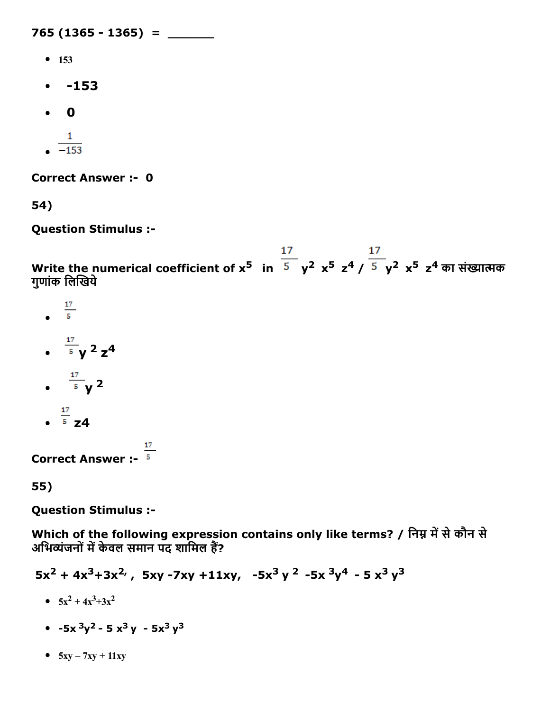765 (1365 - 1365) = \_\_\_\_\_\_

- $153$
- $-153$
- 0  $\bullet$
- $\mathbf{1}$  $\frac{-}{-153}$
- 

**Correct Answer :- 0** 

54)

Question Stimulus :

Write the numerical coefficient of x<sup>5</sup>  $\,$  in  $\,$  <sup>5</sup>  $\,$  y<sup>2</sup> x<sup>5</sup>  $\,$ z<sup>4</sup> /  $\,$  5  $\,$  y<sup>2</sup>  $\,$ x<sup>5</sup>  $\,$ z<sup>4</sup> का संख्यात्मक गुणांक लिखिये

- $\frac{17}{5}$  $y^2z^4$
- y 2
- $\frac{17}{5}$  z4

**Correct Answer :-**  $\frac{17}{5}$ 

55)

Question Stimulus :

Which of the following expression contains only like terms? / निम्न में से कौन से अभिव्यंजनों में केवल समान पद शामिल हैं?

 $5x^2 + 4x^3 + 3x^2$ ,  $5xy - 7xy + 11xy$ ,  $-5x^3y^2 - 5x^3y^4 - 5x^3y^3$ 

- $5x^2 + 4x^3 + 3x^2$
- $-5x^3y^2 5x^3y 5x^3y^3$
- $-5xy 7xy + 11xy$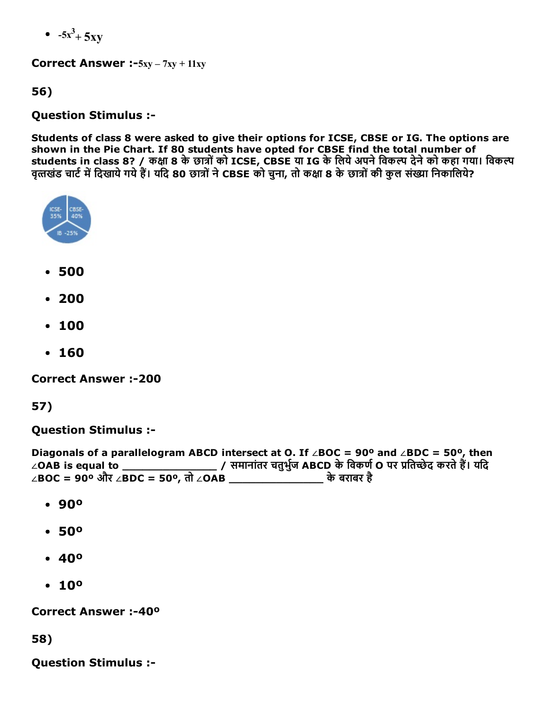$-5x^3 + 5xy$ 

**Correct Answer :-5xy – 7xy + 11xy** 

56)

#### Question Stimulus :

Students of class 8 were asked to give their options for ICSE, CBSE or IG. The options are shown in the Pie Chart. If 80 students have opted for CBSE find the total number of students in class 8? / कक्षा 8 के छात्रों को ICSE, CBSE या IG के लिये अपने विकल्प देने को कहा गया। विकल्प वृत्तखंड चार्ट में दिखाये गये हैं। यदि 80 छात्रों ने CBSE को चना, तो कक्षा 8 के छात्रों की कल संख्या निकालिये?



- 500
- 200
- 100
- 160

**Correct Answer :-200** 

57)

Question Stimulus :

Diagonals of a parallelogram ABCD intersect at O. If ∠BOC = 90º and ∠BDC = 50º, then ∠OAB is equal to \_\_\_\_\_\_\_\_\_\_\_\_\_\_\_\_\_\_\_\_\_/ समानांतर चतुर्भुज ABCD के विकर्ण O पर प्रतिच्छेद करते हैं। यदि ∠BOC = 90º और ∠BDC = 50º, तो ∠OAB \_\_\_\_\_\_\_\_\_\_\_\_\_\_ केबराबर है

- 90º
- 50º
- 40º
- $10°$

Correct Answer :-40<sup>o</sup>

58)

Question Stimulus :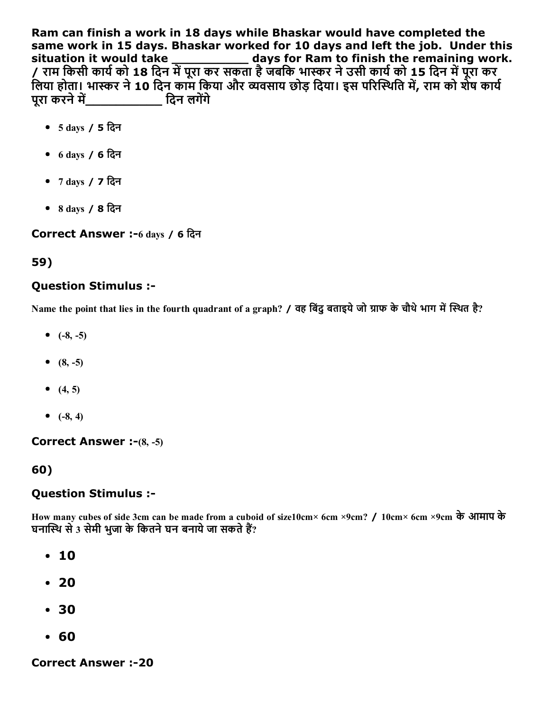Ram can finish a work in 18 days while Bhaskar would have completed the same work in 15 days. Bhaskar worked for 10 days and left the job. Under this situation it would take \_\_\_\_\_\_\_\_\_\_\_ days for Ram to finish the remaining work. / राम किसी कार्य को 18 दिन में पूरा कर सकता है जबकि भास्कर ने उसी कार्य को 15 दिन में पूरा कर लिया होता। भास्कर ने 10 दिन काम किया और व्यवसाय छोड़ दिया। इस परिस्थिति में, राम को शेष कार्य परा करने में बाद करने कर बारे परा करने में

- 5 days / 5 िदन
- 6 days / 6 िदन
- 7 days / 7 िदन
- 8 days / 8 िदन

Correct Answer :-6 days / 6 दिन

59)

### Question Stimulus :

Name the point that lies in the fourth quadrant of a graph? / वह बिंदु बताइये जो ग्राफ के चौथे भाग में स्थित है?

- $(-8, -5)$
- $(8, -5)$
- $(4, 5)$
- $(-8, 4)$

#### **Correct Answer :-** $(8, -5)$

60)

### Question Stimulus :

How many cubes of side 3cm can be made from a cuboid of size10cm× 6cm ×9cm? / 10cm× 6cm ×9cm केआमाप के घनास्थि से 3 सेमी भुजा के कितने घन बनाये जा सकते हैं?

- 10
- $20$
- 30
- 60

**Correct Answer :-20**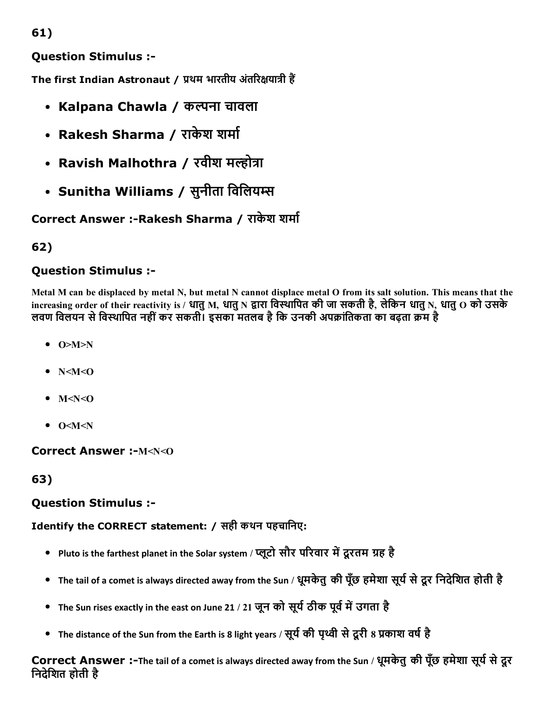61)

Question Stimulus :

The first Indian Astronaut / प्रथम भारतीय अंतरिक्षयात्री हैं

- Kalpana Chawla / कल्पना चावला
- Rakesh Sharma / राकेश शर्मा
- Ravish Malhothra / रवीश मल्होत्रा
- Sunitha Williams / सुनीता विलियम्स

Correct Answer :- Rakesh Sharma / राकेश शर्मा

# 62)

# Question Stimulus :

Metal M can be displaced by metal N, but metal N cannot displace metal O from its salt solution. This means that the increasing order of their reactivity is / धातु M, धातु N द्वारा विस्थापित की जा सकती है, लेकिन धातु N, धातु O को उसके लवण विलयन से विस्थापित नहीं कर सकती। इसका मतलब है कि उनकी अपक्रांतिकता का बढ़ता क्रम है

- $\bullet$  O>M>N
- $\bullet$  N<M<O
- $\bullet$  M<N< $\odot$
- $\bullet$  O<M<N

### Correct Answer :- M<N<O

63)

### Question Stimulus :

### Identify the CORRECT statement: / सही कथन पहचािनए:

- Pluto is the farthest planet in the Solar system / प्लूटो सौर परिवार में दूरतम ग्रह है
- The tail of a comet is always directed away from the Sun / धूमकेतुकी पूँछ हमेशा सूर्य से दूर निदेशित होती है
- The Sun rises exactly in the east on June 21 / 21 जून को सूर्य ठीक पूर्व में उगता है
- The distance of the Sun from the Earth is 8 light years / सूर्य की पृथ्वी से दूरी 8 प्रकाश वर्ष है

Correct Answer :-The tail of a comet is always directed away from the Sun / धूमकेतु की पूँछ हमेशा सूर्य से दूर िनदेिशत होती है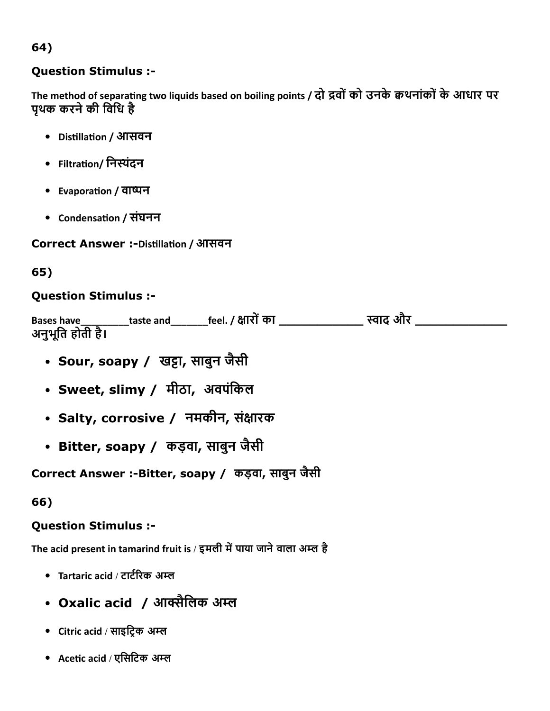# 64)

### Question Stimulus :

The method of separating two liquids based on boiling points / दो द्रवों को उनके क्वथनांकों के आधार पर पृथक करनेकी िविध है

- Disĕllaĕon / आसवन
- Filtration/ निस्पंदन
- Evaporation / वाष्पन
- Condensation / संघनन

### Correct Answer :-Distillation / आसवन

# 65)

# Question Stimulus :

| <b>Bases have</b> | taste and | feel. / क्षारों का | स्वाद और |  |
|-------------------|-----------|--------------------|----------|--|
| अनुभूति होती है।  |           |                    |          |  |

- Sour, soapy / खट्टा, साबुन जैसी
- Sweet, slimy / मीठा, अवपंकिल
- Salty, corrosive / नमकीन, संक्षारक
- Bitter, soapy / कड़वा, साबुन जैसी

Correct Answer :-Bitter, soapy / कड़वा, साबुन जैसी

66)

# Question Stimulus :

The acid present in tamarind fruit is / इमली में पाया जाने वाला अम्ल है

- Tartaric acid / टार्टरिक अम्ल
- Oxalic acid ⁄ आक्सैलिक अम्ल
- Citric acid / साइट्रिक अम्ल
- Acetic acid / एसिटिक अम्ल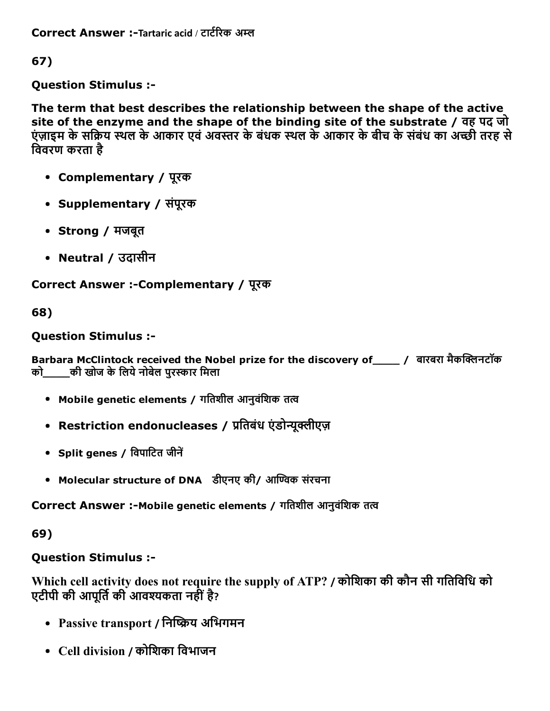Correct Answer :-Tartaric acid / टार्टरिक अम्ल

67)

Question Stimulus :

The term that best describes the relationship between the shape of the active site of the enzyme and the shape of the binding site of the substrate / वह पद जो एंज़ाइम के सक्रिय स्थल के आकार एवं अवस्तर के बंधक स्थल के आकार के बीच के संबंध का अच्छी तरह से िववरण करता है

- Complementary / पूरक
- Supplementary / संपूरक
- Strong / मजबूत
- Neutral / उदासीन

Correct Answer :Complementary / पूरक

68)

### Question Stimulus :

Barbara McClintock received the Nobel prize for the discovery of \_\_\_\_\_ / बारबरा मैकक्लिनटॉक को \_\_\_\_ की खोज के लिये नोबेल पुरस्कार मिला

- Mobile genetic elements / गतिशील आनुवंशिक तत्व
- Restriction endonucleases / प्रतिबंध एंडोन्युक्लीएज़
- Split genes / विपाटित जीनें
- Molecular structure of DNA डीएनए की/ आण्विक संरचना

Correct Answer :-Mobile genetic elements / गतिशील आनुवंशिक तत्व

69)

# Question Stimulus :

Which cell activity does not require the supply of ATP? / कोिशका की कौन सी गितिविध को एटीपी की आपूर्ति की आवश्यकता नहीं है?

- Passive transport / निष्क्रिय अभिगमन
- Cell division / कोिशका िवभाजन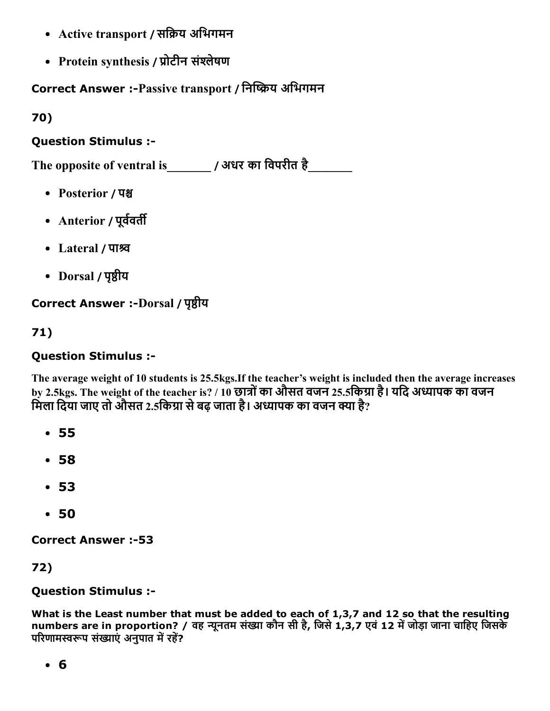- Active transport / सक्रिय अभिगमन
- Protein synthesis / प्रोटीन संश्लेषण

Correct Answer :-Passive transport / निष्क्रिय अभिगमन

70)

# Question Stimulus :

The opposite of ventral is\_\_\_\_\_\_\_ / अधर का िवपरीत है\_\_\_\_\_\_\_

- Posterior / पश्च
- Anterior / पूर्ववर्ती
- Lateral / पाश्रव
- Dorsal / पृष्ठीय

# Correct Answer :-Dorsal / पृष्ठीय

71)

## Question Stimulus :

The average weight of 10 students is 25.5kgs.If the teacher's weight is included then the average increases by 2.5kgs. The weight of the teacher is? / 10 छात्रों का औसत वजन 25.5किग्रा है। यदि अध्यापक का वजन मिला दिया जाए तो औसत 2.5किग्रा से बढ़ जाता है। अध्यापक का वजन क्या है?

- 55
- 58
- 53
- 50

**Correct Answer :-53** 

72)

### Question Stimulus :

What is the Least number that must be added to each of 1,3,7 and 12 so that the resulting numbers are in proportion? / वह न्यूनतम संख्या कौन सी है, जिसे 1,3,7 एवं 12 में जोड़ा जाना चाहिए जिसके परिणामस्वरूप संख्याएं अनुपात में रहें?

6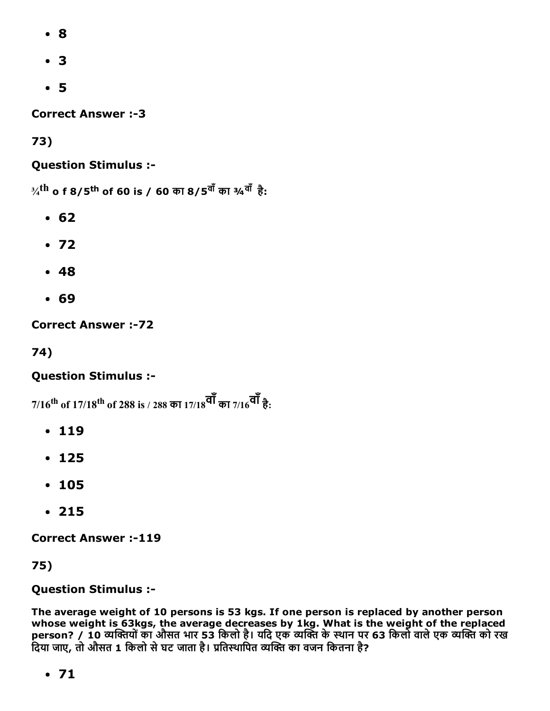- 8
- 3
- 5

**Correct Answer :-3** 

73)

### Question Stimulus :

 $\mathrm{^{3\!}/^{th}}$  o f 8/5 <sup>th</sup> of 60 is / 60 का 8/5 <sup>वाँ</sup> का ¾ <sup>वाँ</sup> है:

- 62
- $.72$
- 48
- 69

**Correct Answer :- 72** 

74)

### Question Stimulus :

 $7/16^{\rm th}$  of  $17/18^{\rm th}$  of 288 is / 288 का  $17/18^{\bf \overline{q}\bar{1}}$  का  $7/16^{\bf \overline{q}\bar{1}}$  है:

- $-119$
- 125
- 105
- 215

**Correct Answer :-119** 

75)

#### Question Stimulus :

The average weight of 10 persons is 53 kgs. If one person is replaced by another person whose weight is 63kgs, the average decreases by 1kg. What is the weight of the replaced person? / 10 व्यक्तियों का औसत भार 53 किलो है। यदि एक व्यक्ति के स्थान पर 63 किलो वाले एक व्यक्ति को रख .<br>दिया जाए, तो औसत 1 किलो से घट जाता है। प्रतिस्थापित व्यक्ति का वजन कितना है?

71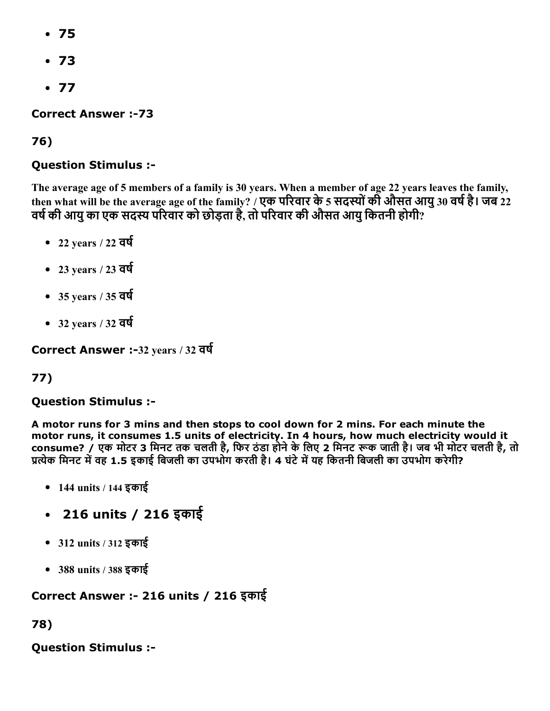- 75
- 73
- $-77$

**Correct Answer :-73** 

# 76)

# Question Stimulus :

The average age of 5 members of a family is 30 years. When a member of age 22 years leaves the family, then what will be the average age of the family? / एक परिवार के 5 सदस्यों की औसत आयु 30 वर्ष है। जब 22 वर्ष की आयु का एक सदस्य परिवार को छोड़ता है, तो परिवार की औसत आयु कितनी होगी?

- $\cdot$  22 years / 22 वर्ष
- $-23$  years / 23 वर्ष
- $\cdot$  35 years / 35 वर्ष
- $\cdot$  32 years / 32 वर्ष

Correct Answer :-32 years / 32 वर्ष

# 77)

### Question Stimulus :

A motor runs for 3 mins and then stops to cool down for 2 mins. For each minute the motor runs, it consumes 1.5 units of electricity. In 4 hours, how much electricity would it consume? / एक मोटर 3 मिनट तक चलती है, फिर ठंडा होने के लिए 2 मिनट रूक जाती है। जब भी मोटर चलती है, तो प्रत्येक मिनट में वह 1.5 इकाई बिजली का उपभोग करती है। 4 घंटे में यह कितनी बिजली का उपभोग करेगी?

- 144 units / 144 इकाई
- 216 units / 216 इकाई
- 312 units / 312 इकाई
- 388 units / 388 इकाई

# Correct Answer : 216 units / 216 इकाई

78)

Question Stimulus :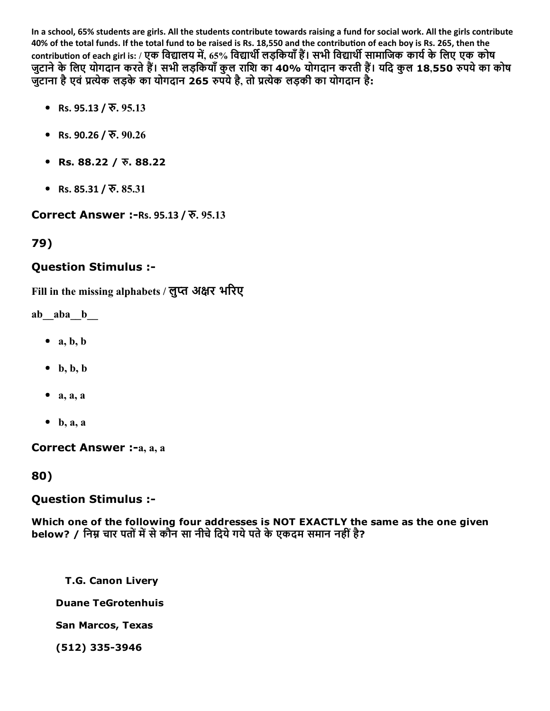In a school, 65% students are girls. All the students contribute towards raising a fund for social work. All the girls contribute 40% of the total funds. If the total fund to be raised is Rs. 18,550 and the contribution of each boy is Rs. 265, then the contribution of each girl is: / एक विद्यालय में, 65% विद्यार्थी लड़कियाँ हैं। सभी विद्यार्थी सामाजिक कार्य के लिए एक कोष जुटाने के लिए योगदान करते हैं। सभी लड़कियाँ कुल राशि का 40% योगदान करती हैं। यदि कुल 18,550 रुपये का कोष जुटाना है एवं प्रत्येक लड़के का योगदान 265 रुपये है, तो प्रत्येक लड़की का योगदान है:

- Rs. 95.13 /  $\overline{v}$ . 95.13
- Rs. 90.26 /  $\overline{v}$ . 90.26
- Rs. 88.22 /  $\bar{x}$ . 88.22
- Rs. 85.31 /  $\overline{v}$ . 85.31

Correct Answer :-Rs. 95.13 / रु. 95.13

# 79)

#### Question Stimulus :

Fill in the missing alphabets / लुप्त अक्षर भरिए

ab aba b

- $\bullet$  a, b, b
- $\bullet$  b, b, b
- $\bullet$  a, a, a
- $\bullet$  b, a, a

Correct Answer :-a, a, a

80)

#### Question Stimulus :

Which one of the following four addresses is NOT EXACTLY the same as the one given below? / निम्न चार पतों में से कौन सा नीचे दिये गये पते के एकदम समान नहीं है?

T.G. Canon Livery

Duane TeGrotenhuis

San Marcos, Texas

(512) 335-3946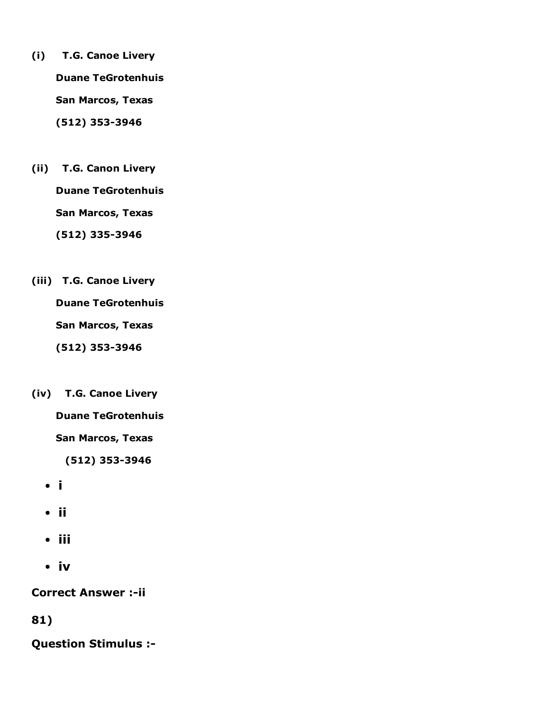- (i) T.G. Canoe Livery Duane TeGrotenhuis San Marcos, Texas (512) 353-3946
- (ii) T.G. Canon Livery Duane TeGrotenhuis San Marcos, Texas (512) 335-3946
- (iii) T.G. Canoe Livery Duane TeGrotenhuis San Marcos, Texas (512) 353-3946
- (iv) T.G. Canoe Livery

Duane TeGrotenhuis

San Marcos, Texas

(512) 353-3946

- i
- ii
- iii
- iv

**Correct Answer :- ii** 

81)

Question Stimulus :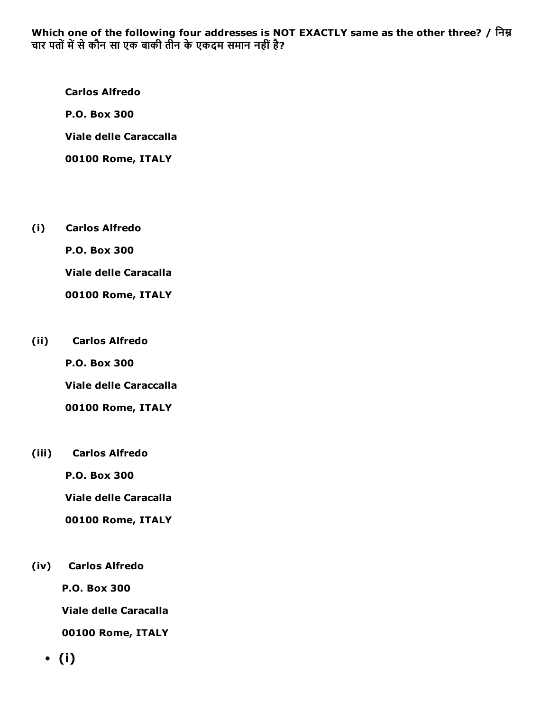Which one of the following four addresses is NOT EXACTLY same as the other three? / निम्न चार पतों में से कौन सा एक बाकी तीन के एकदम समान नहीं है?

Carlos Alfredo P.O. Box 300 Viale delle Caraccalla 00100 Rome, ITALY

(i) Carlos Alfredo

P.O. Box 300

Viale delle Caracalla

00100 Rome, ITALY

(ii) Carlos Alfredo

P.O. Box 300

Viale delle Caraccalla

00100 Rome, ITALY

(iii) Carlos Alfredo

P.O. Box 300

Viale delle Caracalla

00100 Rome, ITALY

(iv) Carlos Alfredo

P.O. Box 300

Viale delle Caracalla

00100 Rome, ITALY

(i)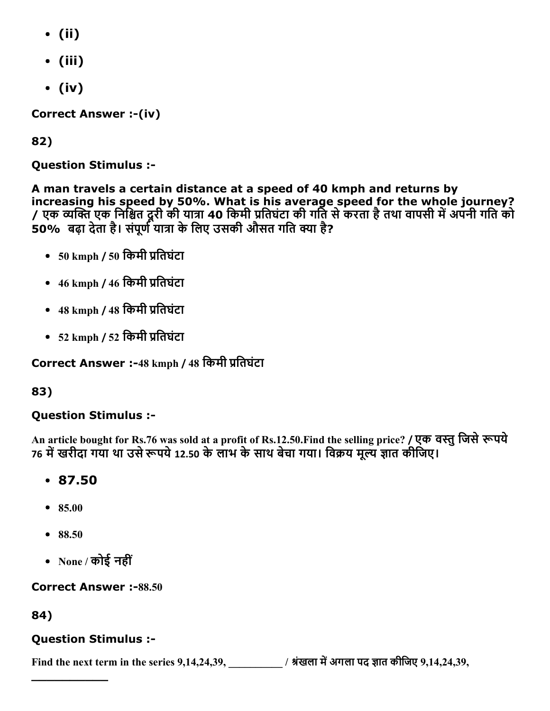- (ii)
- (iii)
- (iv)

Correct Answer :-(iv)

82)

Question Stimulus :

A man travels a certain distance at a speed of 40 kmph and returns by increasing his speed by 50%. What is his average speed for the whole journey? / एक व्यक्ति एक निश्चित दूरी की यात्रा 40 किमी प्रतिघंटा की गर्ति से करता है तथा वापसी में अपनी गति को 50% बढ़ा देता है। संपूर्ण यात्रा के लिए उसकी औसत गति क्या है?

- 50 kmph / 50 किमी प्रतिघंटा
- $46 \text{ kmph}$  /  $46 \text{ }\overline{)}$  प्रतिघंटा
- 48 kmph / 48 किमी प्रतिघंटा
- 52 kmph / 52 किमी प्रतिघंटा

Correct Answer :-48 kmph / 48 किमी प्रतिघंटा

83)

# Question Stimulus :

An article bought for Rs.76 was sold at a profit of Rs.12.50.Find the selling price? / एक वस्तु जिसे रूपये 76 में खरीदा गया था उसे रूपये 12.50 के लाभ के साथ बेचा गया। विक्रय मूल्य ज्ञात कीजिए।

- 87.50
- 85.00
- 88.50
- None / कोई नहीं

**Correct Answer :-88.50** 

84)

# Question Stimulus :

 $\overline{\phantom{a}}$ 

Find the next term in the series  $9,14,24,39$ ,  $\frac{1}{100}$  / श्रंखला में अगला पद ज्ञात कीजिए  $9,14,24,39$ ,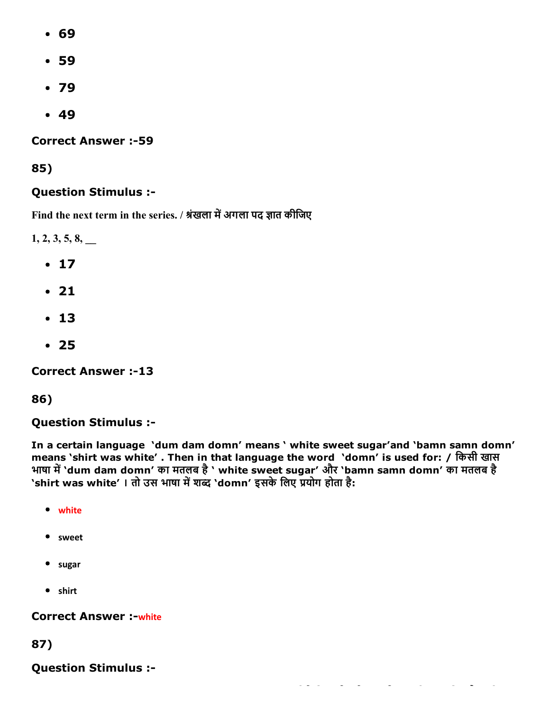- 69
- 59
- 79
- $-49$

**Correct Answer :-59** 

85)

# Question Stimulus :

Find the next term in the series. / श्रंखला में अगला पद ज्ञात कीजिए

 $1, 2, 3, 5, 8,$ 

- $17$
- 21
- $13$
- 25

**Correct Answer :-13** 

86)

Question Stimulus :

In a certain language 'dum dam domn' means ' white sweet sugar'and 'bamn samn domn' means 'shirt was white' . Then in that language the word 'domn' is used for: / िकसी खास भाषा में `dum dam domn' का मतलब है ` white sweet sugar' और `bamn samn domn' का मतलब है 'shirt was white' । तो उस भाषा में शब्द 'domn' इसके लिए प्रयोग होता है:

- white
- sweet
- sugar
- shirt

## **Correct Answer :- white**

87)

Question Stimulus :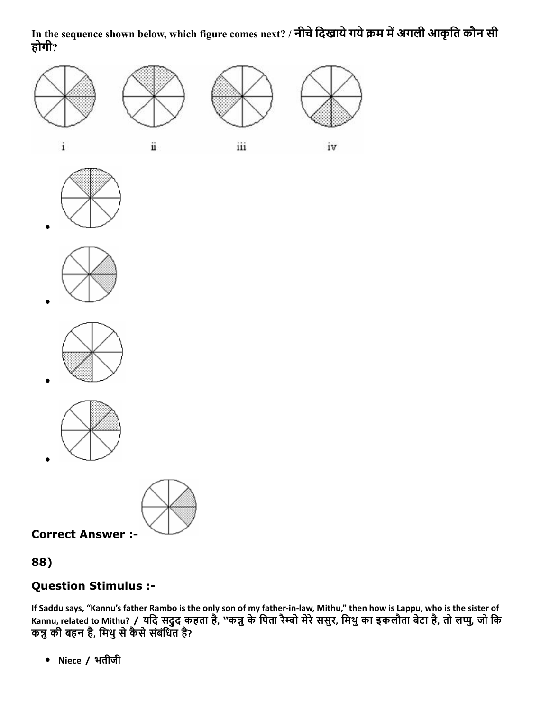## In the sequence shown below, which figure comes next? / नीचे दिखाये गये क्रम में अगली आकृति कौन सी होगी?













Correct Answer :

88)

# Question Stimulus :

If Saddu says, "Kannu's father Rambo is the only son of my father‐in‐law, Mithu," then how is Lappu, who is the sister of Kannu, related to Mithu? / यदि सदुद कहता है, "कन्नु के पिता रैम्बो मेरे ससुर, मिथु का इकलौता बेटा है, तो लप्पु, जो कि कन्नु की बहन है, मिथु से कैसे संबंधित है?

Niece / भतीजी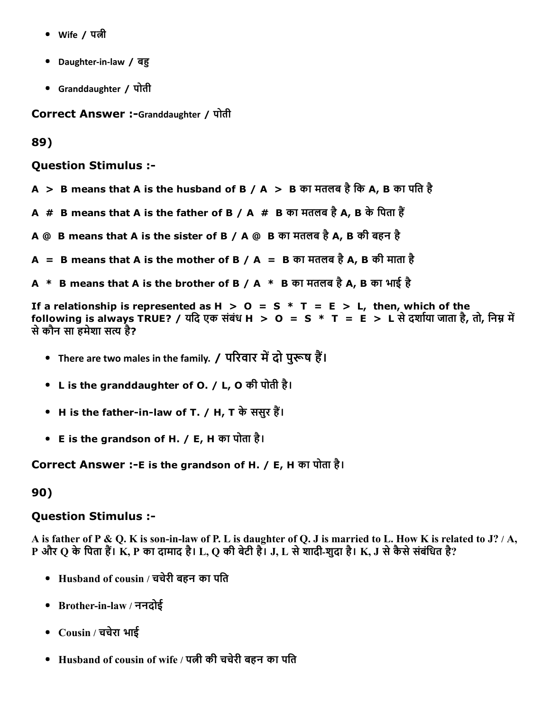- Wife / पत्नी
- Daughter-in-law / बहु
- Granddaughter / पोती

Correct Answer :-Granddaughter / पोती

89)

Question Stimulus :

- A > B means that A is the husband of B / A > B का मतलब है कि A, B का पति है
- A  $#$  B means that A is the father of B / A  $#$  B का मतलब है A, B के पिता हैं
- $A \ @ \ B$  means that A is the sister of B / A @  $\ B$  का मतलब है A, B की बहन है
- A = B means that A is the mother of B / A = B का मतलब है A, B की माता है
- A \* B means that A is the brother of B / A \* B का मतलब है A, B का भाई है

If a relationship is represented as  $H > 0 = S * T = E > L$ , then, which of the following is always TRUE? / यदि एक संबंध H  $>$  O = S  $*$  T = E  $>$  L से दर्शाया जाता है, तो, निम्न में सेकौन सा हमेशा स‰㌊ है?

- There are two males in the family. / परिवार में दो पुरूष हैं।
- L is the granddaughter of O. / L, O की पोती है।
- H is the father-in-law of T. / H, T के ससुर हैं।
- E is the grandson of H. / E, H का पोता है।

Correct Answer :- E is the grandson of H. / E, H का पोता है।

#### 90)

#### Question Stimulus :

A is father of P & Q. K is son-in-law of P. L is daughter of Q. J is married to L. How K is related to J? / A, <code>P</code> और Q के पिता हैं। K, P का दामाद है। L, Q की बेटी है। J, L से शादी-शुदा है। K, J से कैसे संबंधित है?

- Husband of cousin / चचेरी बहन का पित
- Brother-in-law / ननदोई
- Cousin / चचेरा भाई
- Husband of cousin of wife / पत्नी की चचेरी बहन का पति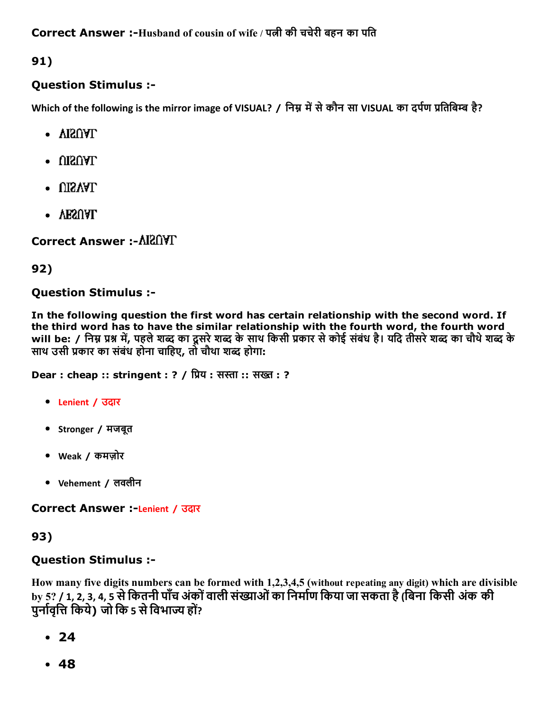91)

# Question Stimulus :

Which of the following is the mirror image of VISUAL? / निम्न में से कौन सा VISUAL का दर्पण प्रतिबिम्ब है?

- VISUAL
- $\cdot$  UISUAL
- $\cdot$  UISVAL
- VESUAL

Correct Answer :

# 92)

# Question Stimulus :

In the following question the first word has certain relationship with the second word. If the third word has to have the similar relationship with the fourth word, the fourth word will be: / निम्न प्रश्न में, पहले शब्द का दूसरे शब्द के साथ किसी प्रकार से कोई संबंध है। यदि तीसरे शब्द का चौथे शब्द के साथ उसी प्रकार का संबंध होना चाहिए, तो चौथा शब्द होगा:

**Dear : cheap :: stringent : ? / प्रिय : सस्ता :: सख्त : ?** 

- Lenient / उदार
- Stronger / मजबूत
- Weak / कमज़ोर
- Vehement / लवलीन

Correct Answer :-Lenient / उदार

# 93)

# Question Stimulus :

How many five digits numbers can be formed with 1,2,3,4,5 (without repeating any digit) which are divisible by 5? / 1, 2, 3, 4, 5 से कितनी पाँच अंकों वाली संख्याओं का निर्माण किया जा सकता है (बिना किसी अंक की पुर्नावृत्ति किये) जो कि 5 से विभाज्य हों?

- $24$
- $-48$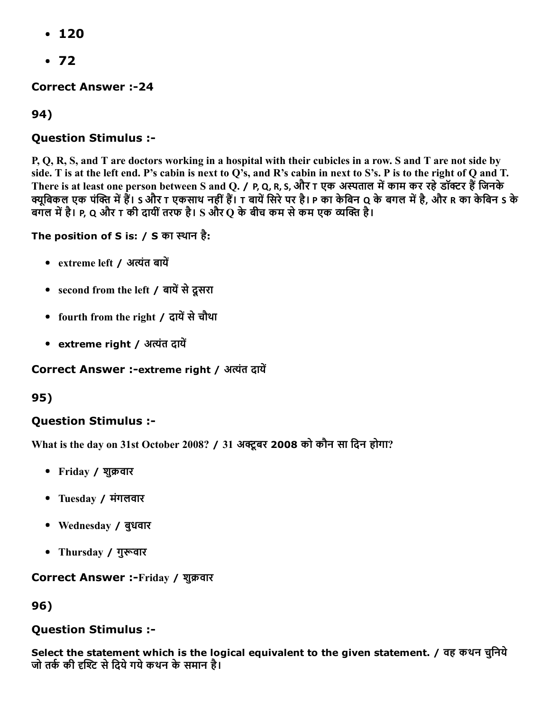- $-120$
- $•72$

**Correct Answer :-24** 

94)

# Question Stimulus :

P, Q, R, S, and T are doctors working in a hospital with their cubicles in a row. S and T are not side by side. T is at the left end. P's cabin is next to Q's, and R's cabin in next to S's. P is to the right of Q and T. There is at least one person between S and Q. / P, Q, R, S, और T एक अस्पताल में काम कर रहे डॉक्टर हैं जिनके क्यूबिकल एक पंक्ति में हैं। S और T एकसाथ नहीं हैं। T बायें सिरे पर है। P का केबिन Q के बगल में है, और R का केबिन S के बगल में है। P, Q और T की दायीं तरफ है। S और Q के बीच कम से कम एक व्यक्ति है।

The position of S is: / S का स्थान है:

- extreme left / अत्यंत बायें
- second from the left / बायें से दूसरा
- fourth from the right / दायें से चौथा
- extreme right / अत्यंत दायें

#### Correct Answer :-extreme right / अत्यंत दायें

95)

## Question Stimulus :

What is the day on 31st October 2008? / 31 अक्टूबर 2008 को कौन सा दिन होगा?

- Friday / शुक्रवार
- Tuesday / मंगलवार
- Wednesday / बुधवार
- Thursday / गुरूवार

#### Correct Answer :-Friday / शुक्रवार

96)

## Question Stimulus :

Select the statement which is the logical equivalent to the given statement. / वह कथन चुनिये जो तर्क की दृश्टि से दिये गये कथन के समान है।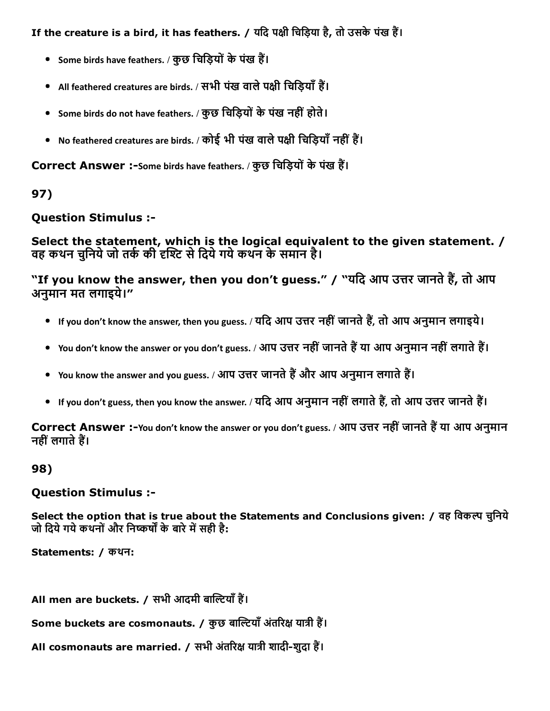If the creature is a bird, it has feathers. / यदि पक्षी चिड़िया है, तो उसके पंख हैं।

- Some birds have feathers. / कुछ चिड़ियों के पंख हैं।
- All feathered creatures are birds. / सभी पंख वाले पक्षी चिडियाँ हैं।
- Some birds do not have feathers. / कुछ चिड़ियों के पंख नहीं होते।
- No feathered creatures are birds. / कोई भी पंख वाले पक्षी चिड़ियाँ नहीं हैं।

Correct Answer :-Some birds have feathers. / कुछ चिड़ियों के पंख हैं।

# 97)

## Question Stimulus :

Select the statement, which is the logical equivalent to the given statement. / वह कथन चनिये जो तर्क की दृश्टि से दिये गये कथन के समान है।

"If you know the answer, then you don't guess." / "यदि आप उत्तर जानते हैं, तो आप अनुमान मत लगाइये।"

- If you don't know the answer, then you guess. / यदि आप उत्तर नहीं जानते हैं, तो आप अनुमान लगाइये।
- You don't know the answer or you don't guess. / आप उत्तर नहीं जानते हैं या आप अनुमान नहीं लगाते हैं।
- You know the answer and you guess. / आप उत्तर जानते हैं और आप अनुमान लगाते हैं।
- If you don't guess, then you know the answer. / यदि आप अनुमान नहीं लगाते हैं, तो आप उत्तर जानते हैं।

Correct Answer :-You don't know the answer or you don't guess. / आप उत्तर नहीं जानते हैं या आप अनुमान नहीं लगाते हैं।

## 98)

#### Question Stimulus :

Select the option that is true about the Statements and Conclusions given: / वह विकल्प चुनिये जो दिये गये कथनों और निष्कर्षों के बारे में सही है:

Statements: / कथन:

All men are buckets. / सभी आदमी बाल्टियाँ हैं।

Some buckets are cosmonauts. / कुछ बाल्टियाँ अंतरिक्ष यात्री हैं।

All cosmonauts are married. / सभी अंतरिक्ष यात्री शादी-शुदा हैं।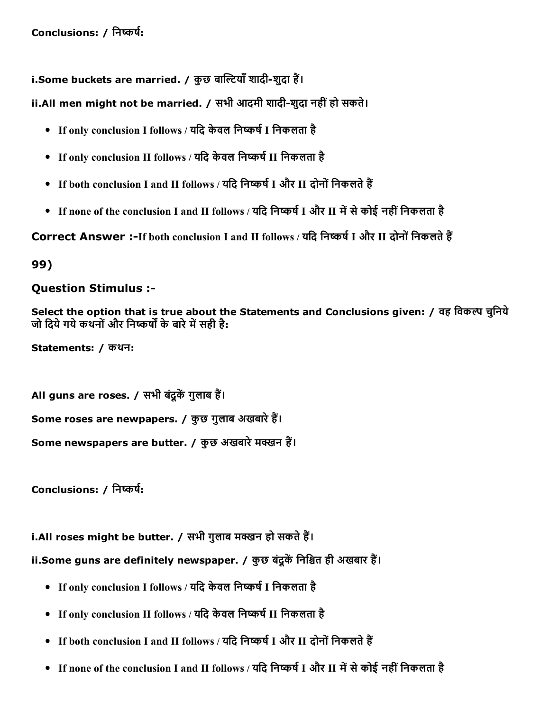i.Some buckets are married. / कुछ बाल्टियाँ शादी-शुदा हैं।

ii.All men might not be married. / सभी आदमी शादी-शुदा नहीं हो सकते।

- If only conclusion I follows / यदि केवल निष्कर्ष I निकलता है
- If only conclusion II follows / यदि केवल निष्कर्ष II निकलता है
- If both conclusion I and II follows / यदि निष्कर्ष I और II दोनों निकलते हैं
- If none of the conclusion I and II follows / यदि निष्कर्ष I और II में से कोई नहीं निकलता है

Correct Answer :-If both conclusion I and II follows / यदि निष्कर्ष I और II दोनों निकलते हैं

99)

#### Question Stimulus :

Select the option that is true about the Statements and Conclusions given: / वह विकल्प चुनिये जो दिये गये कथनों और निष्कर्षों के बारे में सही है:

Statements: / कथन:

All guns are roses. / सभी बंदुकें गुलाब हैं। Some roses are newpapers. / कुछ गुलाब अखबारे हैं। Some newspapers are butter. / कुछ अखबारे मक्खन हैं।

Conclusions: / निष्कर्ष:

i.All roses might be butter. / सभी गुलाब मक्खन हो सकते हैं।

ii.Some guns are definitely newspaper. / कुछ बंदूकें निश्चित ही अखबार हैं।

- If only conclusion I follows / यदि केवल निष्कर्ष I निकलता है
- If only conclusion II follows / यदि केवल निष्कर्ष II निकलता है
- If both conclusion I and II follows / यदि निष्कर्ष I और II दोनों निकलते हैं
- If none of the conclusion I and II follows / यदि निष्कर्ष I और II में से कोई नहीं निकलता है